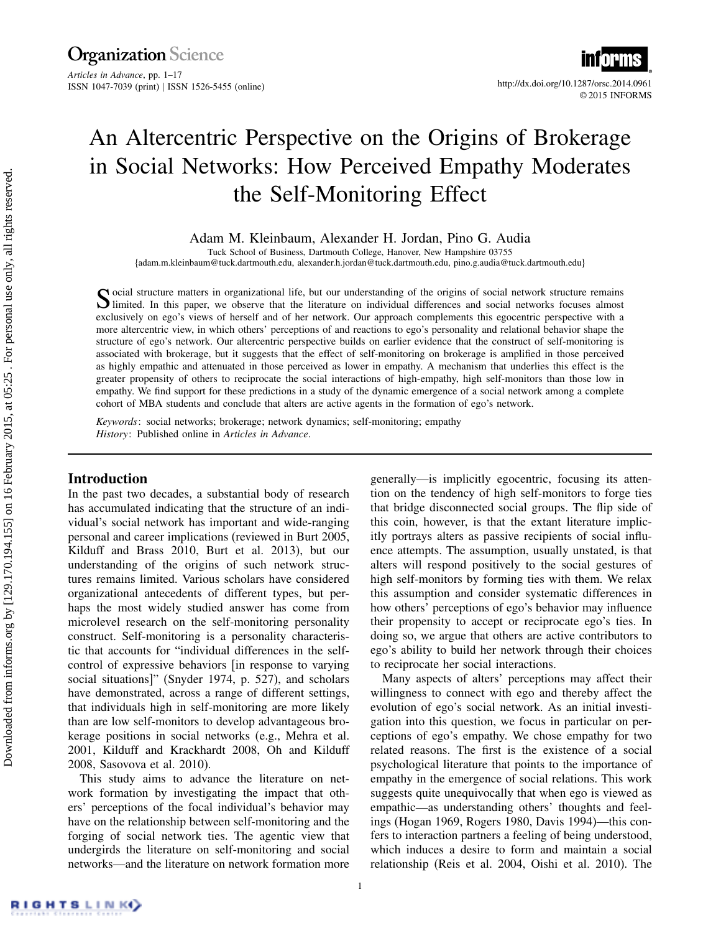*O*<br>Articles in Advance, pp. 1–17

ISSN 1047-7039 (print) ISSN 1526-5455 (online) http://dx.doi.org/10.1287/orsc.2014.0961

# An Altercentric Perspective on the Origins of Brokerage in Social Networks: How Perceived Empathy Moderates the Self-Monitoring Effect

Adam M. Kleinbaum, Alexander H. Jordan, Pino G. Audia

Tuck School of Business, Dartmouth College, Hanover, New Hampshire 03755 {adam.m.kleinbaum@tuck.dartmouth.edu, alexander.h.jordan@tuck.dartmouth.edu, pino.g.audia@tuck.dartmouth.edu}

Social structure matters in organizational life, but our understanding of the origins of social network structure remains<br>I limited. In this paper, we observe that the literature on individual differences and social networ limited. In this paper, we observe that the literature on individual differences and social networks focuses almost exclusively on ego's views of herself and of her network. Our approach complements this egocentric perspective with a more altercentric view, in which others' perceptions of and reactions to ego's personality and relational behavior shape the structure of ego's network. Our altercentric perspective builds on earlier evidence that the construct of self-monitoring is associated with brokerage, but it suggests that the effect of self-monitoring on brokerage is amplified in those perceived as highly empathic and attenuated in those perceived as lower in empathy. A mechanism that underlies this effect is the greater propensity of others to reciprocate the social interactions of high-empathy, high self-monitors than those low in empathy. We find support for these predictions in a study of the dynamic emergence of a social network among a complete cohort of MBA students and conclude that alters are active agents in the formation of ego's network.

Keywords: social networks; brokerage; network dynamics; self-monitoring; empathy History: Published online in Articles in Advance.

# Introduction

In the past two decades, a substantial body of research has accumulated indicating that the structure of an individual's social network has important and wide-ranging personal and career implications (reviewed in Burt 2005, Kilduff and Brass 2010, Burt et al. 2013), but our understanding of the origins of such network structures remains limited. Various scholars have considered organizational antecedents of different types, but perhaps the most widely studied answer has come from microlevel research on the self-monitoring personality construct. Self-monitoring is a personality characteristic that accounts for "individual differences in the selfcontrol of expressive behaviors [in response to varying social situations]" (Snyder 1974, p. 527), and scholars have demonstrated, across a range of different settings, that individuals high in self-monitoring are more likely than are low self-monitors to develop advantageous brokerage positions in social networks (e.g., Mehra et al. 2001, Kilduff and Krackhardt 2008, Oh and Kilduff 2008, Sasovova et al. 2010).

This study aims to advance the literature on network formation by investigating the impact that others' perceptions of the focal individual's behavior may have on the relationship between self-monitoring and the forging of social network ties. The agentic view that undergirds the literature on self-monitoring and social networks—and the literature on network formation more

generally—is implicitly egocentric, focusing its attention on the tendency of high self-monitors to forge ties that bridge disconnected social groups. The flip side of this coin, however, is that the extant literature implicitly portrays alters as passive recipients of social influence attempts. The assumption, usually unstated, is that alters will respond positively to the social gestures of high self-monitors by forming ties with them. We relax this assumption and consider systematic differences in how others' perceptions of ego's behavior may influence their propensity to accept or reciprocate ego's ties. In doing so, we argue that others are active contributors to ego's ability to build her network through their choices to reciprocate her social interactions.

Many aspects of alters' perceptions may affect their willingness to connect with ego and thereby affect the evolution of ego's social network. As an initial investigation into this question, we focus in particular on perceptions of ego's empathy. We chose empathy for two related reasons. The first is the existence of a social psychological literature that points to the importance of empathy in the emergence of social relations. This work suggests quite unequivocally that when ego is viewed as empathic—as understanding others' thoughts and feelings (Hogan 1969, Rogers 1980, Davis 1994)—this confers to interaction partners a feeling of being understood, which induces a desire to form and maintain a social relationship (Reis et al. 2004, Oishi et al. 2010). The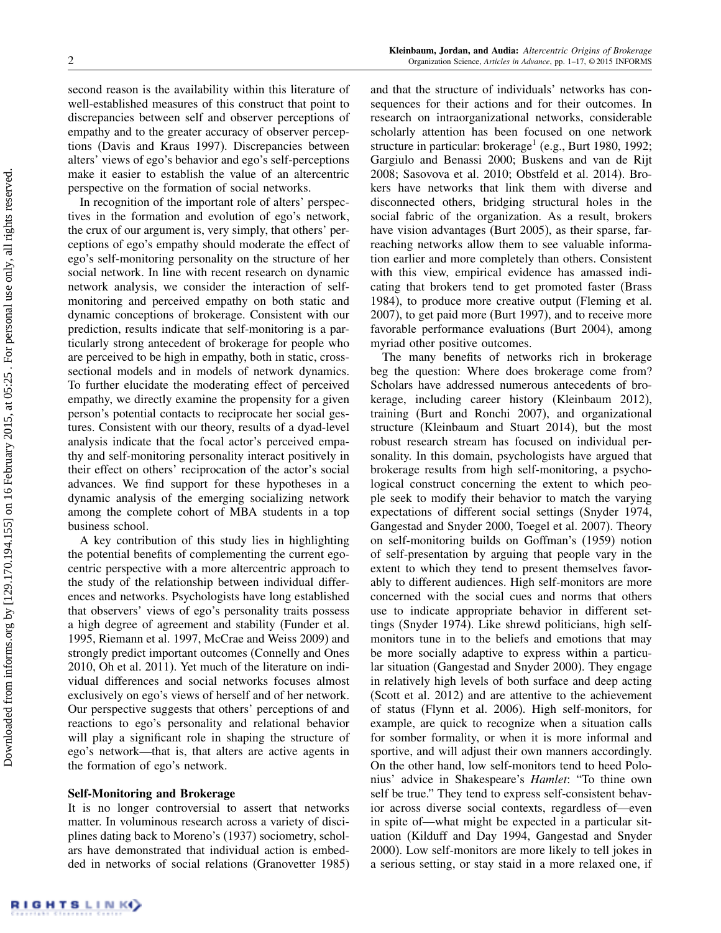second reason is the availability within this literature of well-established measures of this construct that point to discrepancies between self and observer perceptions of empathy and to the greater accuracy of observer perceptions (Davis and Kraus 1997). Discrepancies between alters' views of ego's behavior and ego's self-perceptions make it easier to establish the value of an altercentric perspective on the formation of social networks.

In recognition of the important role of alters' perspectives in the formation and evolution of ego's network, the crux of our argument is, very simply, that others' perceptions of ego's empathy should moderate the effect of ego's self-monitoring personality on the structure of her social network. In line with recent research on dynamic network analysis, we consider the interaction of selfmonitoring and perceived empathy on both static and dynamic conceptions of brokerage. Consistent with our prediction, results indicate that self-monitoring is a particularly strong antecedent of brokerage for people who are perceived to be high in empathy, both in static, crosssectional models and in models of network dynamics. To further elucidate the moderating effect of perceived empathy, we directly examine the propensity for a given person's potential contacts to reciprocate her social gestures. Consistent with our theory, results of a dyad-level analysis indicate that the focal actor's perceived empathy and self-monitoring personality interact positively in their effect on others' reciprocation of the actor's social advances. We find support for these hypotheses in a dynamic analysis of the emerging socializing network among the complete cohort of MBA students in a top business school.

A key contribution of this study lies in highlighting the potential benefits of complementing the current egocentric perspective with a more altercentric approach to the study of the relationship between individual differences and networks. Psychologists have long established that observers' views of ego's personality traits possess a high degree of agreement and stability (Funder et al. 1995, Riemann et al. 1997, McCrae and Weiss 2009) and strongly predict important outcomes (Connelly and Ones 2010, Oh et al. 2011). Yet much of the literature on individual differences and social networks focuses almost exclusively on ego's views of herself and of her network. Our perspective suggests that others' perceptions of and reactions to ego's personality and relational behavior will play a significant role in shaping the structure of ego's network—that is, that alters are active agents in the formation of ego's network.

## Self-Monitoring and Brokerage

It is no longer controversial to assert that networks matter. In voluminous research across a variety of disciplines dating back to Moreno's (1937) sociometry, scholars have demonstrated that individual action is embedded in networks of social relations (Granovetter 1985)

and that the structure of individuals' networks has consequences for their actions and for their outcomes. In research on intraorganizational networks, considerable scholarly attention has been focused on one network structure in particular: brokerage<sup>1</sup> (e.g., Burt 1980, 1992; Gargiulo and Benassi 2000; Buskens and van de Rijt 2008; Sasovova et al. 2010; Obstfeld et al. 2014). Brokers have networks that link them with diverse and disconnected others, bridging structural holes in the social fabric of the organization. As a result, brokers have vision advantages (Burt 2005), as their sparse, farreaching networks allow them to see valuable information earlier and more completely than others. Consistent with this view, empirical evidence has amassed indicating that brokers tend to get promoted faster (Brass 1984), to produce more creative output (Fleming et al. 2007), to get paid more (Burt 1997), and to receive more favorable performance evaluations (Burt 2004), among myriad other positive outcomes.

The many benefits of networks rich in brokerage beg the question: Where does brokerage come from? Scholars have addressed numerous antecedents of brokerage, including career history (Kleinbaum 2012), training (Burt and Ronchi 2007), and organizational structure (Kleinbaum and Stuart 2014), but the most robust research stream has focused on individual personality. In this domain, psychologists have argued that brokerage results from high self-monitoring, a psychological construct concerning the extent to which people seek to modify their behavior to match the varying expectations of different social settings (Snyder 1974, Gangestad and Snyder 2000, Toegel et al. 2007). Theory on self-monitoring builds on Goffman's (1959) notion of self-presentation by arguing that people vary in the extent to which they tend to present themselves favorably to different audiences. High self-monitors are more concerned with the social cues and norms that others use to indicate appropriate behavior in different settings (Snyder 1974). Like shrewd politicians, high selfmonitors tune in to the beliefs and emotions that may be more socially adaptive to express within a particular situation (Gangestad and Snyder 2000). They engage in relatively high levels of both surface and deep acting (Scott et al. 2012) and are attentive to the achievement of status (Flynn et al. 2006). High self-monitors, for example, are quick to recognize when a situation calls for somber formality, or when it is more informal and sportive, and will adjust their own manners accordingly. On the other hand, low self-monitors tend to heed Polonius' advice in Shakespeare's Hamlet: "To thine own self be true." They tend to express self-consistent behavior across diverse social contexts, regardless of—even in spite of—what might be expected in a particular situation (Kilduff and Day 1994, Gangestad and Snyder 2000). Low self-monitors are more likely to tell jokes in a serious setting, or stay staid in a more relaxed one, if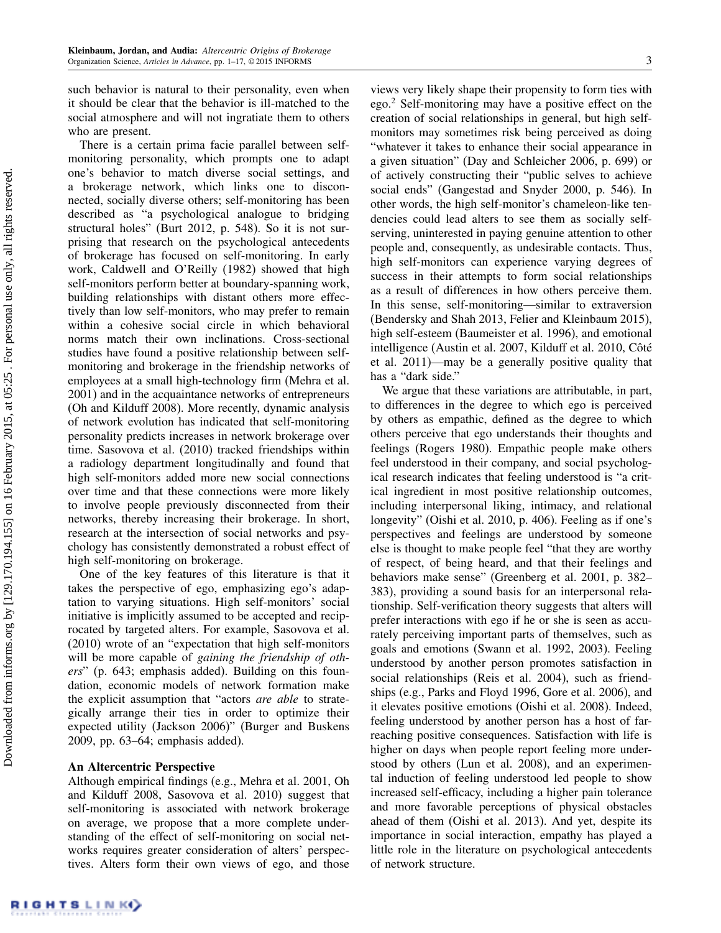such behavior is natural to their personality, even when it should be clear that the behavior is ill-matched to the social atmosphere and will not ingratiate them to others who are present.

There is a certain prima facie parallel between selfmonitoring personality, which prompts one to adapt one's behavior to match diverse social settings, and a brokerage network, which links one to disconnected, socially diverse others; self-monitoring has been described as "a psychological analogue to bridging structural holes" (Burt 2012, p. 548). So it is not surprising that research on the psychological antecedents of brokerage has focused on self-monitoring. In early work, Caldwell and O'Reilly (1982) showed that high self-monitors perform better at boundary-spanning work, building relationships with distant others more effectively than low self-monitors, who may prefer to remain within a cohesive social circle in which behavioral norms match their own inclinations. Cross-sectional studies have found a positive relationship between selfmonitoring and brokerage in the friendship networks of employees at a small high-technology firm (Mehra et al. 2001) and in the acquaintance networks of entrepreneurs (Oh and Kilduff 2008). More recently, dynamic analysis of network evolution has indicated that self-monitoring personality predicts increases in network brokerage over time. Sasovova et al. (2010) tracked friendships within a radiology department longitudinally and found that high self-monitors added more new social connections over time and that these connections were more likely to involve people previously disconnected from their networks, thereby increasing their brokerage. In short, research at the intersection of social networks and psychology has consistently demonstrated a robust effect of high self-monitoring on brokerage.

One of the key features of this literature is that it takes the perspective of ego, emphasizing ego's adaptation to varying situations. High self-monitors' social initiative is implicitly assumed to be accepted and reciprocated by targeted alters. For example, Sasovova et al. (2010) wrote of an "expectation that high self-monitors will be more capable of *gaining the friendship of oth*ers" (p. 643; emphasis added). Building on this foundation, economic models of network formation make the explicit assumption that "actors are able to strategically arrange their ties in order to optimize their expected utility (Jackson 2006)" (Burger and Buskens 2009, pp. 63–64; emphasis added).

## An Altercentric Perspective

Although empirical findings (e.g., Mehra et al. 2001, Oh and Kilduff 2008, Sasovova et al. 2010) suggest that self-monitoring is associated with network brokerage on average, we propose that a more complete understanding of the effect of self-monitoring on social networks requires greater consideration of alters' perspectives. Alters form their own views of ego, and those

views very likely shape their propensity to form ties with ego.<sup>2</sup> Self-monitoring may have a positive effect on the creation of social relationships in general, but high selfmonitors may sometimes risk being perceived as doing "whatever it takes to enhance their social appearance in a given situation" (Day and Schleicher 2006, p. 699) or of actively constructing their "public selves to achieve social ends" (Gangestad and Snyder 2000, p. 546). In other words, the high self-monitor's chameleon-like tendencies could lead alters to see them as socially selfserving, uninterested in paying genuine attention to other people and, consequently, as undesirable contacts. Thus, high self-monitors can experience varying degrees of success in their attempts to form social relationships as a result of differences in how others perceive them. In this sense, self-monitoring—similar to extraversion (Bendersky and Shah 2013, Felier and Kleinbaum 2015), high self-esteem (Baumeister et al. 1996), and emotional intelligence (Austin et al. 2007, Kilduff et al. 2010, Côté et al. 2011)—may be a generally positive quality that has a "dark side."

We argue that these variations are attributable, in part, to differences in the degree to which ego is perceived by others as empathic, defined as the degree to which others perceive that ego understands their thoughts and feelings (Rogers 1980). Empathic people make others feel understood in their company, and social psychological research indicates that feeling understood is "a critical ingredient in most positive relationship outcomes, including interpersonal liking, intimacy, and relational longevity" (Oishi et al. 2010, p. 406). Feeling as if one's perspectives and feelings are understood by someone else is thought to make people feel "that they are worthy of respect, of being heard, and that their feelings and behaviors make sense" (Greenberg et al. 2001, p. 382– 383), providing a sound basis for an interpersonal relationship. Self-verification theory suggests that alters will prefer interactions with ego if he or she is seen as accurately perceiving important parts of themselves, such as goals and emotions (Swann et al. 1992, 2003). Feeling understood by another person promotes satisfaction in social relationships (Reis et al. 2004), such as friendships (e.g., Parks and Floyd 1996, Gore et al. 2006), and it elevates positive emotions (Oishi et al. 2008). Indeed, feeling understood by another person has a host of farreaching positive consequences. Satisfaction with life is higher on days when people report feeling more understood by others (Lun et al. 2008), and an experimental induction of feeling understood led people to show increased self-efficacy, including a higher pain tolerance and more favorable perceptions of physical obstacles ahead of them (Oishi et al. 2013). And yet, despite its importance in social interaction, empathy has played a little role in the literature on psychological antecedents of network structure.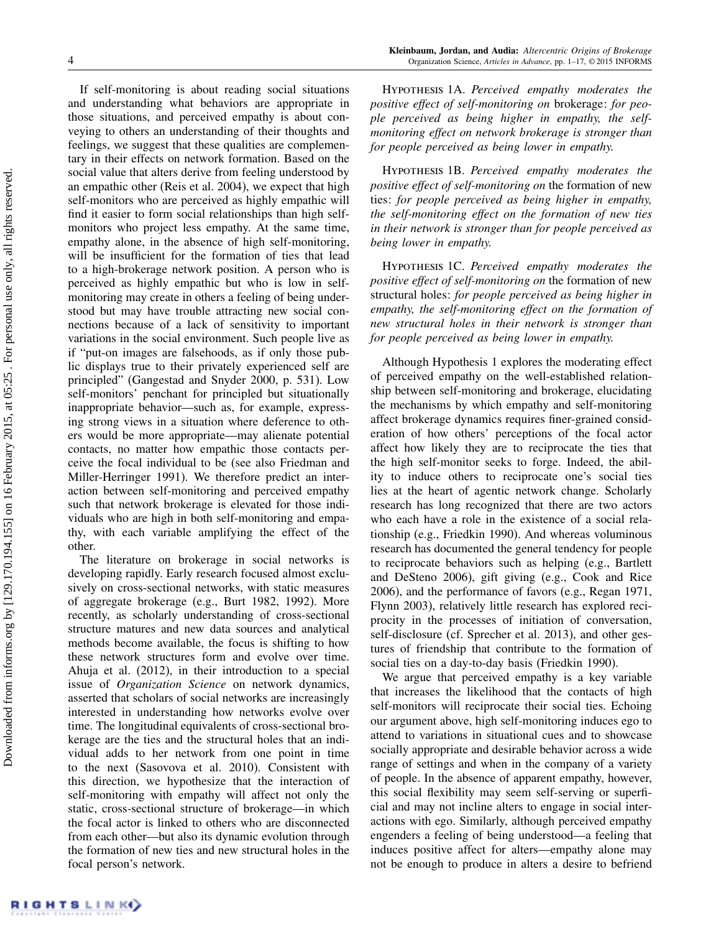If self-monitoring is about reading social situations and understanding what behaviors are appropriate in those situations, and perceived empathy is about conveying to others an understanding of their thoughts and feelings, we suggest that these qualities are complementary in their effects on network formation. Based on the social value that alters derive from feeling understood by an empathic other (Reis et al. 2004), we expect that high self-monitors who are perceived as highly empathic will find it easier to form social relationships than high selfmonitors who project less empathy. At the same time, empathy alone, in the absence of high self-monitoring, will be insufficient for the formation of ties that lead to a high-brokerage network position. A person who is perceived as highly empathic but who is low in selfmonitoring may create in others a feeling of being understood but may have trouble attracting new social connections because of a lack of sensitivity to important variations in the social environment. Such people live as if "put-on images are falsehoods, as if only those public displays true to their privately experienced self are principled" (Gangestad and Snyder 2000, p. 531). Low self-monitors' penchant for principled but situationally inappropriate behavior—such as, for example, expressing strong views in a situation where deference to others would be more appropriate—may alienate potential contacts, no matter how empathic those contacts perceive the focal individual to be (see also Friedman and Miller-Herringer 1991). We therefore predict an interaction between self-monitoring and perceived empathy such that network brokerage is elevated for those individuals who are high in both self-monitoring and empathy, with each variable amplifying the effect of the other.

The literature on brokerage in social networks is developing rapidly. Early research focused almost exclusively on cross-sectional networks, with static measures of aggregate brokerage (e.g., Burt 1982, 1992). More recently, as scholarly understanding of cross-sectional structure matures and new data sources and analytical methods become available, the focus is shifting to how these network structures form and evolve over time. Ahuja et al. (2012), in their introduction to a special issue of Organization Science on network dynamics, asserted that scholars of social networks are increasingly interested in understanding how networks evolve over time. The longitudinal equivalents of cross-sectional brokerage are the ties and the structural holes that an individual adds to her network from one point in time to the next (Sasovova et al. 2010). Consistent with this direction, we hypothesize that the interaction of self-monitoring with empathy will affect not only the static, cross-sectional structure of brokerage—in which the focal actor is linked to others who are disconnected from each other—but also its dynamic evolution through the formation of new ties and new structural holes in the focal person's network.

Hypothesis 1A. Perceived empathy moderates the positive effect of self-monitoring on brokerage: for people perceived as being higher in empathy, the selfmonitoring effect on network brokerage is stronger than for people perceived as being lower in empathy.

Hypothesis 1B. Perceived empathy moderates the positive effect of self-monitoring on the formation of new ties: for people perceived as being higher in empathy, the self-monitoring effect on the formation of new ties in their network is stronger than for people perceived as being lower in empathy.

Hypothesis 1C. Perceived empathy moderates the positive effect of self-monitoring on the formation of new structural holes: for people perceived as being higher in empathy, the self-monitoring effect on the formation of new structural holes in their network is stronger than for people perceived as being lower in empathy.

Although Hypothesis 1 explores the moderating effect of perceived empathy on the well-established relationship between self-monitoring and brokerage, elucidating the mechanisms by which empathy and self-monitoring affect brokerage dynamics requires finer-grained consideration of how others' perceptions of the focal actor affect how likely they are to reciprocate the ties that the high self-monitor seeks to forge. Indeed, the ability to induce others to reciprocate one's social ties lies at the heart of agentic network change. Scholarly research has long recognized that there are two actors who each have a role in the existence of a social relationship (e.g., Friedkin 1990). And whereas voluminous research has documented the general tendency for people to reciprocate behaviors such as helping (e.g., Bartlett and DeSteno 2006), gift giving (e.g., Cook and Rice 2006), and the performance of favors (e.g., Regan 1971, Flynn 2003), relatively little research has explored reciprocity in the processes of initiation of conversation, self-disclosure (cf. Sprecher et al. 2013), and other gestures of friendship that contribute to the formation of social ties on a day-to-day basis (Friedkin 1990).

We argue that perceived empathy is a key variable that increases the likelihood that the contacts of high self-monitors will reciprocate their social ties. Echoing our argument above, high self-monitoring induces ego to attend to variations in situational cues and to showcase socially appropriate and desirable behavior across a wide range of settings and when in the company of a variety of people. In the absence of apparent empathy, however, this social flexibility may seem self-serving or superficial and may not incline alters to engage in social interactions with ego. Similarly, although perceived empathy engenders a feeling of being understood—a feeling that induces positive affect for alters—empathy alone may not be enough to produce in alters a desire to befriend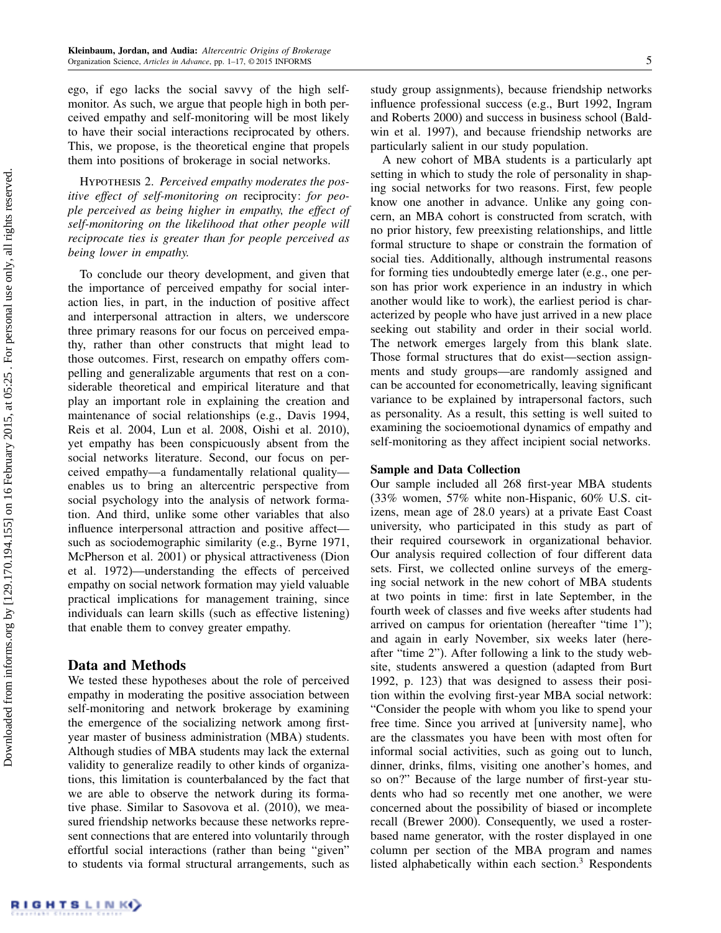ego, if ego lacks the social savvy of the high selfmonitor. As such, we argue that people high in both perceived empathy and self-monitoring will be most likely to have their social interactions reciprocated by others. This, we propose, is the theoretical engine that propels them into positions of brokerage in social networks.

Hypothesis 2. Perceived empathy moderates the positive effect of self-monitoring on reciprocity: for people perceived as being higher in empathy, the effect of self-monitoring on the likelihood that other people will reciprocate ties is greater than for people perceived as being lower in empathy.

To conclude our theory development, and given that the importance of perceived empathy for social interaction lies, in part, in the induction of positive affect and interpersonal attraction in alters, we underscore three primary reasons for our focus on perceived empathy, rather than other constructs that might lead to those outcomes. First, research on empathy offers compelling and generalizable arguments that rest on a considerable theoretical and empirical literature and that play an important role in explaining the creation and maintenance of social relationships (e.g., Davis 1994, Reis et al. 2004, Lun et al. 2008, Oishi et al. 2010), yet empathy has been conspicuously absent from the social networks literature. Second, our focus on perceived empathy—a fundamentally relational quality enables us to bring an altercentric perspective from social psychology into the analysis of network formation. And third, unlike some other variables that also influence interpersonal attraction and positive affect such as sociodemographic similarity (e.g., Byrne 1971, McPherson et al. 2001) or physical attractiveness (Dion et al. 1972)—understanding the effects of perceived empathy on social network formation may yield valuable practical implications for management training, since individuals can learn skills (such as effective listening) that enable them to convey greater empathy.

# Data and Methods

We tested these hypotheses about the role of perceived empathy in moderating the positive association between self-monitoring and network brokerage by examining the emergence of the socializing network among firstyear master of business administration (MBA) students. Although studies of MBA students may lack the external validity to generalize readily to other kinds of organizations, this limitation is counterbalanced by the fact that we are able to observe the network during its formative phase. Similar to Sasovova et al. (2010), we measured friendship networks because these networks represent connections that are entered into voluntarily through effortful social interactions (rather than being "given" to students via formal structural arrangements, such as study group assignments), because friendship networks influence professional success (e.g., Burt 1992, Ingram and Roberts 2000) and success in business school (Baldwin et al. 1997), and because friendship networks are particularly salient in our study population.

A new cohort of MBA students is a particularly apt setting in which to study the role of personality in shaping social networks for two reasons. First, few people know one another in advance. Unlike any going concern, an MBA cohort is constructed from scratch, with no prior history, few preexisting relationships, and little formal structure to shape or constrain the formation of social ties. Additionally, although instrumental reasons for forming ties undoubtedly emerge later (e.g., one person has prior work experience in an industry in which another would like to work), the earliest period is characterized by people who have just arrived in a new place seeking out stability and order in their social world. The network emerges largely from this blank slate. Those formal structures that do exist—section assignments and study groups—are randomly assigned and can be accounted for econometrically, leaving significant variance to be explained by intrapersonal factors, such as personality. As a result, this setting is well suited to examining the socioemotional dynamics of empathy and self-monitoring as they affect incipient social networks.

## Sample and Data Collection

Our sample included all 268 first-year MBA students (33% women, 57% white non-Hispanic, 60% U.S. citizens, mean age of 28.0 years) at a private East Coast university, who participated in this study as part of their required coursework in organizational behavior. Our analysis required collection of four different data sets. First, we collected online surveys of the emerging social network in the new cohort of MBA students at two points in time: first in late September, in the fourth week of classes and five weeks after students had arrived on campus for orientation (hereafter "time 1"); and again in early November, six weeks later (hereafter "time 2"). After following a link to the study website, students answered a question (adapted from Burt 1992, p. 123) that was designed to assess their position within the evolving first-year MBA social network: "Consider the people with whom you like to spend your free time. Since you arrived at [university name], who are the classmates you have been with most often for informal social activities, such as going out to lunch, dinner, drinks, films, visiting one another's homes, and so on?" Because of the large number of first-year students who had so recently met one another, we were concerned about the possibility of biased or incomplete recall (Brewer 2000). Consequently, we used a rosterbased name generator, with the roster displayed in one column per section of the MBA program and names listed alphabetically within each section. $3$  Respondents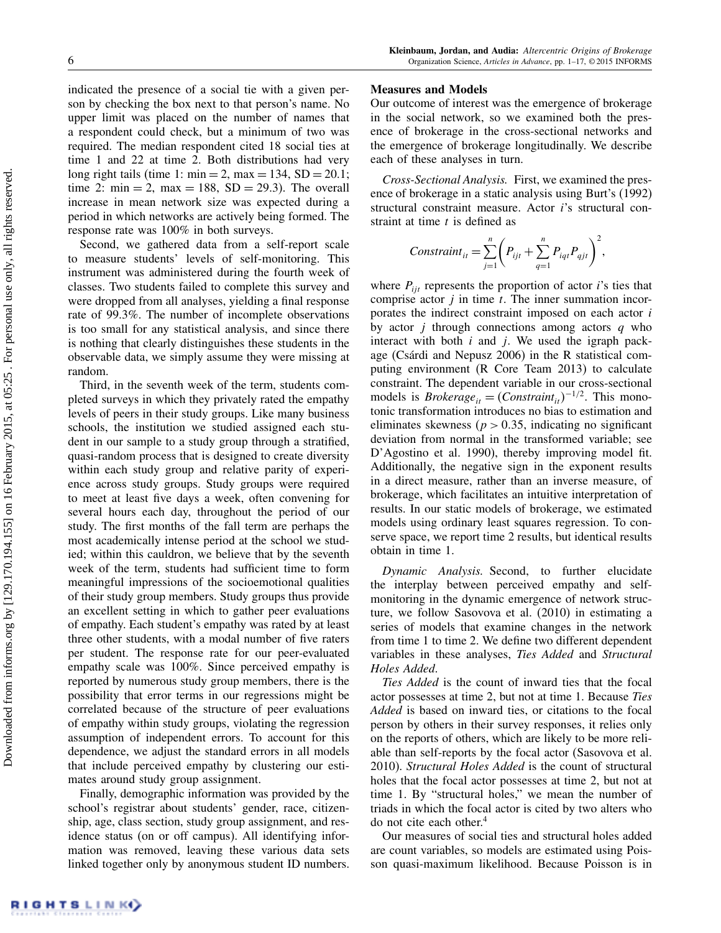indicated the presence of a social tie with a given person by checking the box next to that person's name. No upper limit was placed on the number of names that a respondent could check, but a minimum of two was required. The median respondent cited 18 social ties at time 1 and 22 at time 2. Both distributions had very long right tails (time 1: min = 2, max = 134,  $SD = 20.1$ ; time 2: min = 2, max = 188,  $SD = 29.3$ ). The overall increase in mean network size was expected during a period in which networks are actively being formed. The response rate was 100% in both surveys.

Second, we gathered data from a self-report scale to measure students' levels of self-monitoring. This instrument was administered during the fourth week of classes. Two students failed to complete this survey and were dropped from all analyses, yielding a final response rate of 99.3%. The number of incomplete observations is too small for any statistical analysis, and since there is nothing that clearly distinguishes these students in the observable data, we simply assume they were missing at random.

Third, in the seventh week of the term, students completed surveys in which they privately rated the empathy levels of peers in their study groups. Like many business schools, the institution we studied assigned each student in our sample to a study group through a stratified, quasi-random process that is designed to create diversity within each study group and relative parity of experience across study groups. Study groups were required to meet at least five days a week, often convening for several hours each day, throughout the period of our study. The first months of the fall term are perhaps the most academically intense period at the school we studied; within this cauldron, we believe that by the seventh week of the term, students had sufficient time to form meaningful impressions of the socioemotional qualities of their study group members. Study groups thus provide an excellent setting in which to gather peer evaluations of empathy. Each student's empathy was rated by at least three other students, with a modal number of five raters per student. The response rate for our peer-evaluated empathy scale was 100%. Since perceived empathy is reported by numerous study group members, there is the possibility that error terms in our regressions might be correlated because of the structure of peer evaluations of empathy within study groups, violating the regression assumption of independent errors. To account for this dependence, we adjust the standard errors in all models that include perceived empathy by clustering our estimates around study group assignment.

Finally, demographic information was provided by the school's registrar about students' gender, race, citizenship, age, class section, study group assignment, and residence status (on or off campus). All identifying information was removed, leaving these various data sets linked together only by anonymous student ID numbers.

## Measures and Models

Our outcome of interest was the emergence of brokerage in the social network, so we examined both the presence of brokerage in the cross-sectional networks and the emergence of brokerage longitudinally. We describe each of these analyses in turn.

Cross-Sectional Analysis. First, we examined the presence of brokerage in a static analysis using Burt's (1992) structural constraint measure. Actor i's structural constraint at time  $t$  is defined as

$$
Construct_{it} = \sum_{j=1}^{n} \left( P_{ijt} + \sum_{q=1}^{n} P_{iqt} P_{qjt} \right)^2,
$$

where  $P_{ijt}$  represents the proportion of actor *i*'s ties that comprise actor  $j$  in time  $t$ . The inner summation incorporates the indirect constraint imposed on each actor i by actor *j* through connections among actors  $q$  who interact with both  $i$  and  $j$ . We used the igraph package (Csárdi and Nepusz 2006) in the R statistical computing environment (R Core Team 2013) to calculate constraint. The dependent variable in our cross-sectional models is *Brokerage*<sub>it</sub> =  $(Constant_{it})^{-1/2}$ . This monotonic transformation introduces no bias to estimation and eliminates skewness ( $p > 0.35$ , indicating no significant deviation from normal in the transformed variable; see D'Agostino et al. 1990), thereby improving model fit. Additionally, the negative sign in the exponent results in a direct measure, rather than an inverse measure, of brokerage, which facilitates an intuitive interpretation of results. In our static models of brokerage, we estimated models using ordinary least squares regression. To conserve space, we report time 2 results, but identical results obtain in time 1.

Dynamic Analysis. Second, to further elucidate the interplay between perceived empathy and selfmonitoring in the dynamic emergence of network structure, we follow Sasovova et al. (2010) in estimating a series of models that examine changes in the network from time 1 to time 2. We define two different dependent variables in these analyses, Ties Added and Structural Holes Added.

Ties Added is the count of inward ties that the focal actor possesses at time 2, but not at time 1. Because Ties Added is based on inward ties, or citations to the focal person by others in their survey responses, it relies only on the reports of others, which are likely to be more reliable than self-reports by the focal actor (Sasovova et al. 2010). Structural Holes Added is the count of structural holes that the focal actor possesses at time 2, but not at time 1. By "structural holes," we mean the number of triads in which the focal actor is cited by two alters who do not cite each other.<sup>4</sup>

Our measures of social ties and structural holes added are count variables, so models are estimated using Poisson quasi-maximum likelihood. Because Poisson is in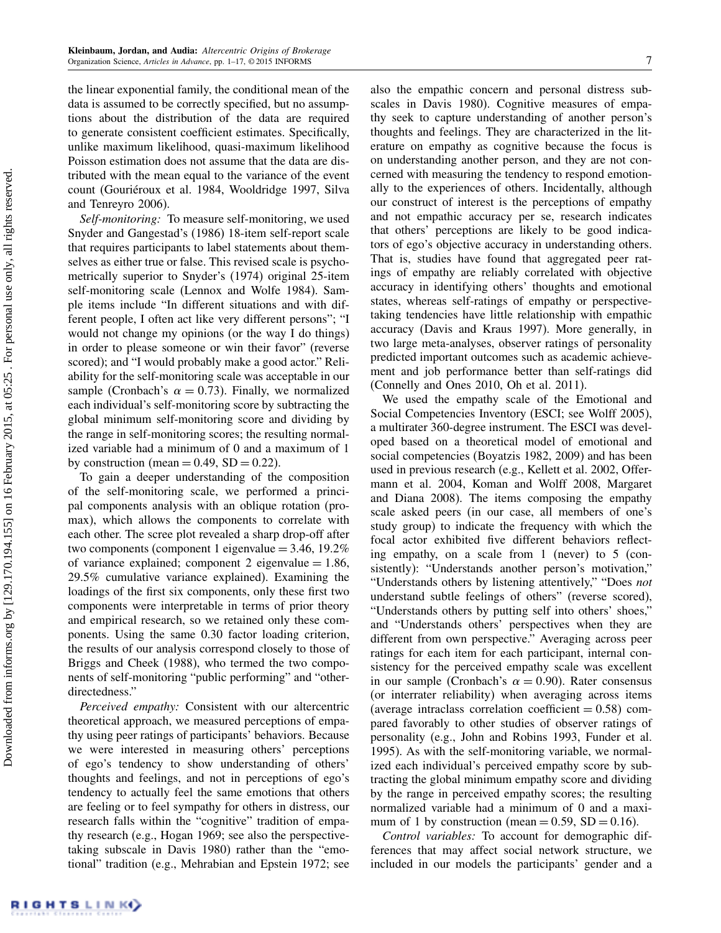the linear exponential family, the conditional mean of the data is assumed to be correctly specified, but no assumptions about the distribution of the data are required to generate consistent coefficient estimates. Specifically, unlike maximum likelihood, quasi-maximum likelihood Poisson estimation does not assume that the data are distributed with the mean equal to the variance of the event count (Gouriéroux et al. 1984, Wooldridge 1997, Silva and Tenreyro 2006).

Self-monitoring: To measure self-monitoring, we used Snyder and Gangestad's (1986) 18-item self-report scale that requires participants to label statements about themselves as either true or false. This revised scale is psychometrically superior to Snyder's (1974) original 25-item self-monitoring scale (Lennox and Wolfe 1984). Sample items include "In different situations and with different people, I often act like very different persons"; "I would not change my opinions (or the way I do things) in order to please someone or win their favor" (reverse scored); and "I would probably make a good actor." Reliability for the self-monitoring scale was acceptable in our sample (Cronbach's  $\alpha = 0.73$ ). Finally, we normalized each individual's self-monitoring score by subtracting the global minimum self-monitoring score and dividing by the range in self-monitoring scores; the resulting normalized variable had a minimum of 0 and a maximum of 1 by construction (mean  $= 0.49$ , SD  $= 0.22$ ).

To gain a deeper understanding of the composition of the self-monitoring scale, we performed a principal components analysis with an oblique rotation (promax), which allows the components to correlate with each other. The scree plot revealed a sharp drop-off after two components (component 1 eigenvalue  $= 3.46, 19.2\%$ of variance explained; component 2 eigenvalue  $= 1.86$ , 29.5% cumulative variance explained). Examining the loadings of the first six components, only these first two components were interpretable in terms of prior theory and empirical research, so we retained only these components. Using the same 0.30 factor loading criterion, the results of our analysis correspond closely to those of Briggs and Cheek (1988), who termed the two components of self-monitoring "public performing" and "otherdirectedness."

Perceived empathy: Consistent with our altercentric theoretical approach, we measured perceptions of empathy using peer ratings of participants' behaviors. Because we were interested in measuring others' perceptions of ego's tendency to show understanding of others' thoughts and feelings, and not in perceptions of ego's tendency to actually feel the same emotions that others are feeling or to feel sympathy for others in distress, our research falls within the "cognitive" tradition of empathy research (e.g., Hogan 1969; see also the perspectivetaking subscale in Davis 1980) rather than the "emotional" tradition (e.g., Mehrabian and Epstein 1972; see

also the empathic concern and personal distress subscales in Davis 1980). Cognitive measures of empathy seek to capture understanding of another person's thoughts and feelings. They are characterized in the literature on empathy as cognitive because the focus is on understanding another person, and they are not concerned with measuring the tendency to respond emotionally to the experiences of others. Incidentally, although our construct of interest is the perceptions of empathy and not empathic accuracy per se, research indicates that others' perceptions are likely to be good indicators of ego's objective accuracy in understanding others. That is, studies have found that aggregated peer ratings of empathy are reliably correlated with objective accuracy in identifying others' thoughts and emotional states, whereas self-ratings of empathy or perspectivetaking tendencies have little relationship with empathic accuracy (Davis and Kraus 1997). More generally, in two large meta-analyses, observer ratings of personality predicted important outcomes such as academic achievement and job performance better than self-ratings did (Connelly and Ones 2010, Oh et al. 2011).

We used the empathy scale of the Emotional and Social Competencies Inventory (ESCI; see Wolff 2005), a multirater 360-degree instrument. The ESCI was developed based on a theoretical model of emotional and social competencies (Boyatzis 1982, 2009) and has been used in previous research (e.g., Kellett et al. 2002, Offermann et al. 2004, Koman and Wolff 2008, Margaret and Diana 2008). The items composing the empathy scale asked peers (in our case, all members of one's study group) to indicate the frequency with which the focal actor exhibited five different behaviors reflecting empathy, on a scale from 1 (never) to 5 (consistently): "Understands another person's motivation," "Understands others by listening attentively," "Does not understand subtle feelings of others" (reverse scored), "Understands others by putting self into others' shoes," and "Understands others' perspectives when they are different from own perspective." Averaging across peer ratings for each item for each participant, internal consistency for the perceived empathy scale was excellent in our sample (Cronbach's  $\alpha = 0.90$ ). Rater consensus (or interrater reliability) when averaging across items (average intraclass correlation coefficient  $= 0.58$ ) compared favorably to other studies of observer ratings of personality (e.g., John and Robins 1993, Funder et al. 1995). As with the self-monitoring variable, we normalized each individual's perceived empathy score by subtracting the global minimum empathy score and dividing by the range in perceived empathy scores; the resulting normalized variable had a minimum of 0 and a maximum of 1 by construction (mean  $= 0.59$ , SD  $= 0.16$ ).

Control variables: To account for demographic differences that may affect social network structure, we included in our models the participants' gender and a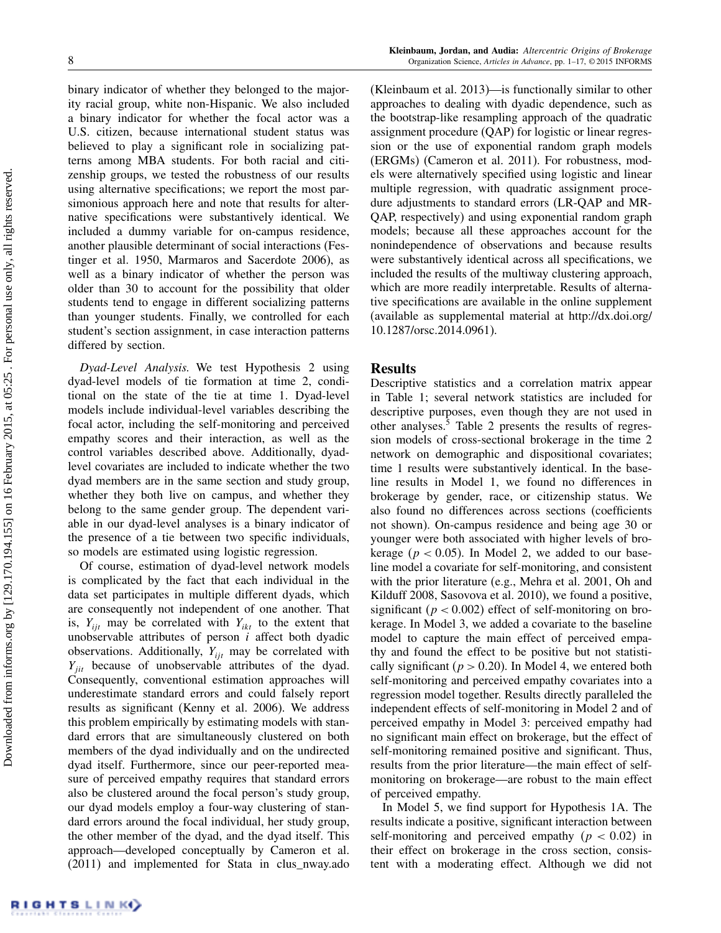binary indicator of whether they belonged to the majority racial group, white non-Hispanic. We also included a binary indicator for whether the focal actor was a U.S. citizen, because international student status was believed to play a significant role in socializing patterns among MBA students. For both racial and citizenship groups, we tested the robustness of our results using alternative specifications; we report the most parsimonious approach here and note that results for alternative specifications were substantively identical. We included a dummy variable for on-campus residence, another plausible determinant of social interactions (Festinger et al. 1950, Marmaros and Sacerdote 2006), as well as a binary indicator of whether the person was older than 30 to account for the possibility that older students tend to engage in different socializing patterns than younger students. Finally, we controlled for each student's section assignment, in case interaction patterns differed by section.

Dyad-Level Analysis. We test Hypothesis 2 using dyad-level models of tie formation at time 2, conditional on the state of the tie at time 1. Dyad-level models include individual-level variables describing the focal actor, including the self-monitoring and perceived empathy scores and their interaction, as well as the control variables described above. Additionally, dyadlevel covariates are included to indicate whether the two dyad members are in the same section and study group, whether they both live on campus, and whether they belong to the same gender group. The dependent variable in our dyad-level analyses is a binary indicator of the presence of a tie between two specific individuals, so models are estimated using logistic regression.

Of course, estimation of dyad-level network models is complicated by the fact that each individual in the data set participates in multiple different dyads, which are consequently not independent of one another. That is,  $Y_{ijt}$  may be correlated with  $Y_{ikt}$  to the extent that unobservable attributes of person  $i$  affect both dyadic observations. Additionally,  $Y_{ijt}$  may be correlated with  $Y_{jit}$  because of unobservable attributes of the dyad. Consequently, conventional estimation approaches will underestimate standard errors and could falsely report results as significant (Kenny et al. 2006). We address this problem empirically by estimating models with standard errors that are simultaneously clustered on both members of the dyad individually and on the undirected dyad itself. Furthermore, since our peer-reported measure of perceived empathy requires that standard errors also be clustered around the focal person's study group, our dyad models employ a four-way clustering of standard errors around the focal individual, her study group, the other member of the dyad, and the dyad itself. This approach—developed conceptually by Cameron et al. (2011) and implemented for Stata in clus\_nway.ado (Kleinbaum et al. 2013)—is functionally similar to other approaches to dealing with dyadic dependence, such as the bootstrap-like resampling approach of the quadratic assignment procedure (QAP) for logistic or linear regression or the use of exponential random graph models (ERGMs) (Cameron et al. 2011). For robustness, models were alternatively specified using logistic and linear multiple regression, with quadratic assignment procedure adjustments to standard errors (LR-QAP and MR-QAP, respectively) and using exponential random graph models; because all these approaches account for the nonindependence of observations and because results were substantively identical across all specifications, we included the results of the multiway clustering approach, which are more readily interpretable. Results of alternative specifications are available in the online supplement (available as supplemental material at http://dx.doi.org/ 10.1287/orsc.2014.0961).

## **Results**

Descriptive statistics and a correlation matrix appear in Table 1; several network statistics are included for descriptive purposes, even though they are not used in other analyses.<sup>5</sup> Table 2 presents the results of regression models of cross-sectional brokerage in the time 2 network on demographic and dispositional covariates; time 1 results were substantively identical. In the baseline results in Model 1, we found no differences in brokerage by gender, race, or citizenship status. We also found no differences across sections (coefficients not shown). On-campus residence and being age 30 or younger were both associated with higher levels of brokerage ( $p < 0.05$ ). In Model 2, we added to our baseline model a covariate for self-monitoring, and consistent with the prior literature (e.g., Mehra et al. 2001, Oh and Kilduff 2008, Sasovova et al. 2010), we found a positive, significant ( $p < 0.002$ ) effect of self-monitoring on brokerage. In Model 3, we added a covariate to the baseline model to capture the main effect of perceived empathy and found the effect to be positive but not statistically significant ( $p > 0.20$ ). In Model 4, we entered both self-monitoring and perceived empathy covariates into a regression model together. Results directly paralleled the independent effects of self-monitoring in Model 2 and of perceived empathy in Model 3: perceived empathy had no significant main effect on brokerage, but the effect of self-monitoring remained positive and significant. Thus, results from the prior literature—the main effect of selfmonitoring on brokerage—are robust to the main effect of perceived empathy.

In Model 5, we find support for Hypothesis 1A. The results indicate a positive, significant interaction between self-monitoring and perceived empathy ( $p < 0.02$ ) in their effect on brokerage in the cross section, consistent with a moderating effect. Although we did not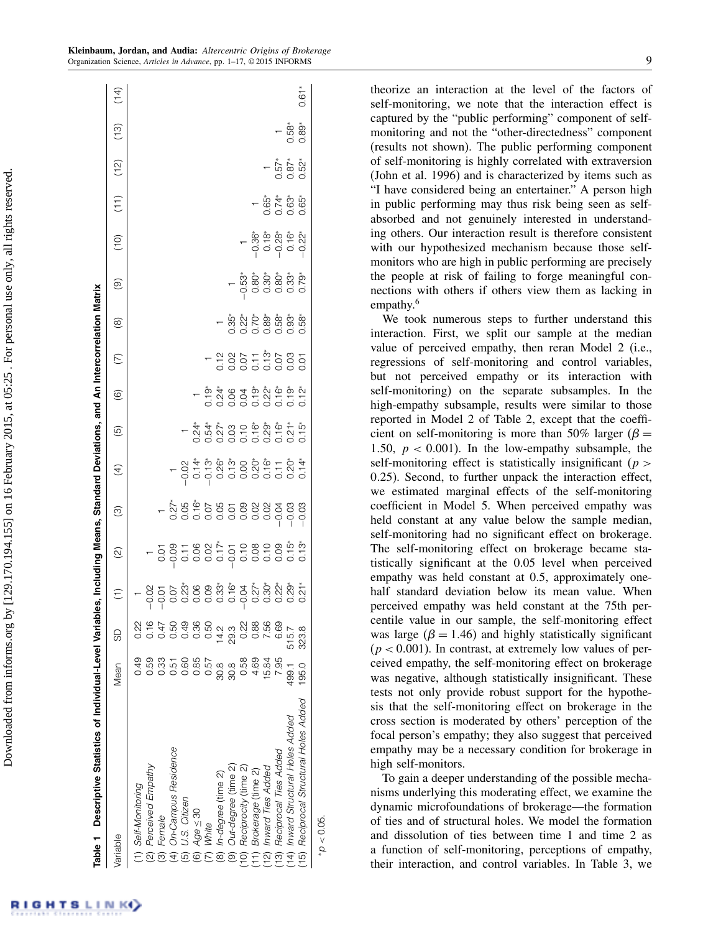| Table 1 Descriptive Statistics of Individual-Level Variab |             |             |               | les, Including Means, Standard Deviations, and An Intercorrelation Matrix |                         |               |                                                        |                |                              |                |   |      |                                        |                                |                                                                      |      |
|-----------------------------------------------------------|-------------|-------------|---------------|---------------------------------------------------------------------------|-------------------------|---------------|--------------------------------------------------------|----------------|------------------------------|----------------|---|------|----------------------------------------|--------------------------------|----------------------------------------------------------------------|------|
| Variable                                                  | Mean        | 9           | $\widehat{E}$ | $\widehat{\varrho}$                                                       | $\widehat{\mathcal{E}}$ | $\widehat{E}$ | 0                                                      | $\circledcirc$ | $\left( \overline{C}\right)$ | $\circledcirc$ | ම | (10) | $\begin{pmatrix} 1 \\ 1 \end{pmatrix}$ | (12)                           | (13)                                                                 | (14) |
| 1) Self-Monitorina                                        | 0.49        | 0.22        |               |                                                                           |                         |               |                                                        |                |                              |                |   |      |                                        |                                |                                                                      |      |
| (2) Perceived Empathy                                     | 0.59        | 0.16        |               |                                                                           |                         |               |                                                        |                |                              |                |   |      |                                        |                                |                                                                      |      |
| $(3)$ Female                                              | 0.33        | 0.47        |               |                                                                           |                         |               |                                                        |                |                              |                |   |      |                                        |                                |                                                                      |      |
|                                                           | -51<br>0.51 | 0.50        |               |                                                                           |                         |               |                                                        |                |                              |                |   |      |                                        |                                |                                                                      |      |
| (4) On-Campus Residence<br>(5) U.S. Citizen               | 0.60        | 0.49        |               |                                                                           |                         |               |                                                        |                |                              |                |   |      |                                        |                                |                                                                      |      |
| $(6)$ Age $\leq$ 30                                       | 0.85        | 0.36        |               |                                                                           |                         |               |                                                        |                |                              |                |   |      |                                        |                                |                                                                      |      |
| 7) White                                                  | 0.57        | <b>C3.0</b> |               |                                                                           |                         |               | = * * * * 000 * * * * *<br>- * * * 000 * * 000 * * * * |                |                              |                |   |      |                                        |                                |                                                                      |      |
| $(8)$ In-degree (time 2)                                  | 30.8        | 4.2         |               |                                                                           |                         |               |                                                        |                |                              |                |   |      |                                        |                                |                                                                      |      |
| $(9)$ Out-degree (time 2)                                 | 30.8        | 29.3        |               |                                                                           |                         |               |                                                        |                |                              |                |   |      |                                        |                                |                                                                      |      |
| (10) Reciprocity (time 2)                                 | 0.58        | 0.22        |               |                                                                           |                         |               |                                                        |                |                              |                |   |      |                                        |                                |                                                                      |      |
| (11) Brokerage (time 2)                                   | 4.69        | 0.88        |               |                                                                           |                         |               |                                                        |                |                              |                |   |      |                                        |                                |                                                                      |      |
| (12) Inward Ties Added                                    | 15.84       | 7.56        |               |                                                                           |                         |               |                                                        |                |                              |                |   |      |                                        |                                |                                                                      |      |
| (13) Reciprocal Ties Added                                | 7.95        | 6.69        |               |                                                                           |                         |               |                                                        |                |                              |                |   |      | - ซ้ำ * ซ้ำ<br>0.000<br>0.000          | $-5.8$<br>5.00<br>5.00<br>5.00 |                                                                      |      |
| (14) Inward Structural Holes Added                        | 499.1       | 515.7       |               |                                                                           |                         |               |                                                        |                |                              |                |   |      |                                        |                                | $ \overset{\ast}{\phantom{0}}\phantom{0}5\overset{\ast}{0}$<br>O.O.O |      |
| (15) Reciprocal Structural Holes Added                    | 195.0       | 323.8       |               |                                                                           |                         |               |                                                        |                |                              |                |   |      |                                        |                                |                                                                      | 0.61 |
|                                                           |             |             |               |                                                                           |                         |               |                                                        |                |                              |                |   |      |                                        |                                |                                                                      |      |

 $P < 0.05$ 

theorize an interaction at the level of the factors of self-monitoring, we note that the interaction effect is captured by the "public performing" component of selfmonitoring and not the "other-directedness" component (results not shown). The public performing component of self-monitoring is highly correlated with extraversion (John et al. 1996) and is characterized by items such as "I have considered being an entertainer." A person high in public performing may thus risk being seen as selfabsorbed and not genuinely interested in understanding others. Our interaction result is therefore consistent with our hypothesized mechanism because those selfmonitors who are high in public performing are precisely the people at risk of failing to forge meaningful connections with others if others view them as lacking in empathy.<sup>6</sup>

We took numerous steps to further understand this interaction. First, we split our sample at the median value of perceived empathy, then reran Model 2 (i.e., regressions of self-monitoring and control variables, but not perceived empathy or its interaction with self-monitoring) on the separate subsamples. In the high-empathy subsample, results were similar to those reported in Model 2 of Table 2, except that the coefficient on self-monitoring is more than 50% larger ( $\beta$  = 1.50,  $p < 0.001$ ). In the low-empathy subsample, the self-monitoring effect is statistically insignificant ( $p >$  $0.25$ ). Second, to further unpack the interaction effect, we estimated marginal effects of the self-monitoring coefficient in Model 5. When perceived empathy was held constant at any value below the sample median, self-monitoring had no significant effect on brokerage. The self-monitoring effect on brokerage became statistically significant at the 0.05 level when perceived empathy was held constant at 0.5, approximately onehalf standard deviation below its mean value. When perceived empathy was held constant at the 75th percentile value in our sample, the self-monitoring effect was large ( $\beta$  = 1.46) and highly statistically significant  $(p < 0.001)$ . In contrast, at extremely low values of perceived empathy, the self-monitoring effect on brokerage was negative, although statistically insignificant. These tests not only provide robust support for the hypothesis that the self-monitoring effect on brokerage in the cross section is moderated by others' perception of the focal person's empathy; they also suggest that perceived empathy may be a necessary condition for brokerage in high self-monitors.

To gain a deeper understanding of the possible mechanisms underlying this moderating effect, we examine the dynamic microfoundations of brokerage—the formation of ties and of structural holes. We model the formation and dissolution of ties between time 1 and time 2 as a function of self-monitoring, perceptions of empathy, their interaction, and control variables. In Table 3, we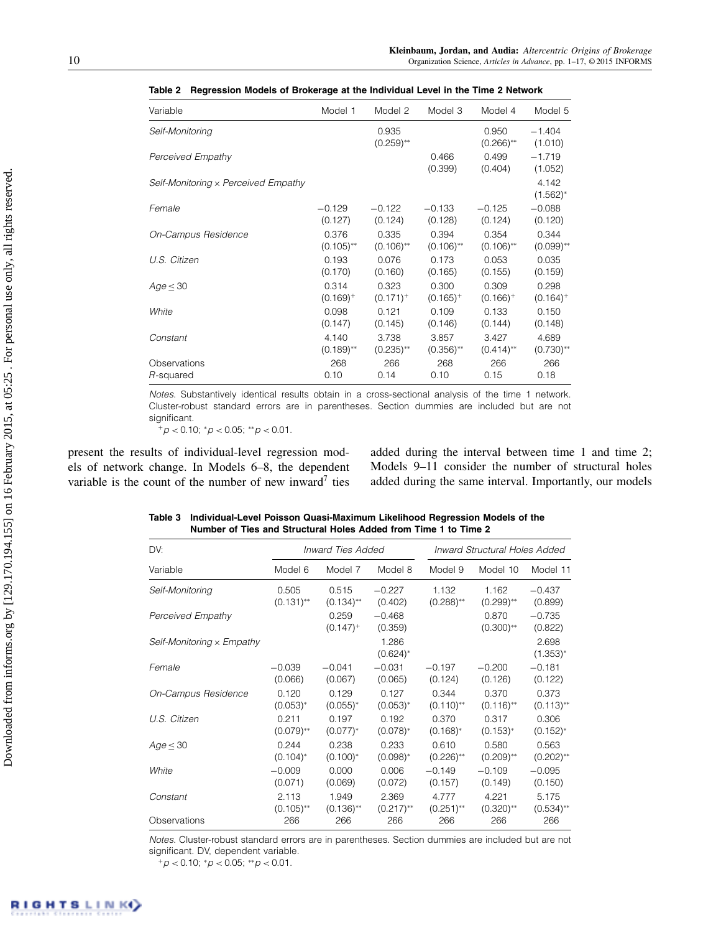| Variable                            | Model 1      | Model 2               | Model 3          | Model 4                 | Model 5                |
|-------------------------------------|--------------|-----------------------|------------------|-------------------------|------------------------|
| Self-Monitoring                     |              | 0.935<br>$(0.259)$ ** |                  | 0.950<br>$(0.266)$ **   | $-1.404$<br>(1.010)    |
| Perceived Empathy                   |              |                       | 0.466<br>(0.399) | 0.499<br>(0.404)        | $-1.719$<br>(1.052)    |
| Self-Monitoring x Perceived Empathy |              |                       |                  |                         | 4.142<br>$(1.562)^*$   |
| Female                              | $-0.129$     | $-0.122$              | $-0.133$         | $-0.125$                | $-0.088$               |
|                                     | (0.127)      | (0.124)               | (0.128)          | (0.124)                 | (0.120)                |
| On-Campus Residence                 | 0.376        | 0.335                 | 0.394            | 0.354                   | 0.344                  |
|                                     | $(0.105)$ ** | $(0.106)$ **          | $(0.106)$ **     | $(0.106)$ **            | $(0.099)$ **           |
| U.S. Citizen                        | 0.193        | 0.076                 | 0.173            | 0.053                   | 0.035                  |
|                                     | (0.170)      | (0.160)               | (0.165)          | (0.155)                 | (0.159)                |
| $Age \leq 30$                       | 0.314        | 0.323                 | 0.300            | 0.309                   | 0.298                  |
|                                     | $(0.169)^+$  | $(0.171)^{+}$         | $(0.165)^+$      | $(0.166)^+$             | $(0.164)$ <sup>+</sup> |
| White                               | 0.098        | 0.121                 | 0.109            | 0.133                   | 0.150                  |
|                                     | (0.147)      | (0.145)               | (0.146)          | (0.144)                 | (0.148)                |
| Constant                            | 4.140        | 3.738                 | 3.857            | 3.427                   | 4.689                  |
|                                     | $(0.189)$ ** | $(0.235)$ **          | $(0.356)$ **     | $(0.414)$ <sup>**</sup> | $(0.730)$ **           |
| Observations                        | 268          | 266                   | 268              | 266                     | 266                    |
| R-squared                           | 0.10         | 0.14                  | 0.10             | 0.15                    | 0.18                   |

Table 2 Regression Models of Brokerage at the Individual Level in the Time 2 Network

Notes. Substantively identical results obtain in a cross-sectional analysis of the time 1 network. Cluster-robust standard errors are in parentheses. Section dummies are included but are not significant.

 $+p < 0.10$ ; \* $p < 0.05$ ; \*\* $p < 0.01$ .

present the results of individual-level regression models of network change. In Models 6–8, the dependent variable is the count of the number of new inward<sup>7</sup> ties

added during the interval between time 1 and time 2; Models 9–11 consider the number of structural holes added during the same interval. Importantly, our models

Table 3 Individual-Level Poisson Quasi-Maximum Likelihood Regression Models of the Number of Ties and Structural Holes Added from Time 1 to Time 2

| DV:                              |               | <b>Inward Ties Added</b> |                      |                        | Inward Structural Holes Added |                        |
|----------------------------------|---------------|--------------------------|----------------------|------------------------|-------------------------------|------------------------|
| Variable                         | Model 6       | Model 7                  | Model 8              | Model 9                | Model 10                      | Model 11               |
| Self-Monitoring                  | 0.505         | 0.515                    | $-0.227$             | 1.132                  | 1.162                         | $-0.437$               |
|                                  | $(0.131)$ **  | $(0.134)$ **             | (0.402)              | $(0.288)$ **           | $(0.299)$ **                  | (0.899)                |
| Perceived Empathy                |               | 0.259<br>$(0.147)^+$     | $-0.468$<br>(0.359)  |                        | 0.870<br>$(0.300)$ **         | $-0.735$<br>(0.822)    |
| Self-Monitoring $\times$ Empathy |               |                          | 1.286<br>$(0.624)$ * |                        |                               | 2.698<br>$(1.353)^{*}$ |
| Female                           | $-0.039$      | $-0.041$                 | $-0.031$             | $-0.197$               | $-0.200$                      | $-0.181$               |
|                                  | (0.066)       | (0.067)                  | (0.065)              | (0.124)                | (0.126)                       | (0.122)                |
| On-Campus Residence              | 0.120         | 0.129                    | 0.127                | 0.344                  | 0.370                         | 0.373                  |
|                                  | $(0.053)^{*}$ | $(0.055)^*$              | $(0.053)^{*}$        | $(0.110)$ **           | $(0.116)$ **                  | $(0.113)$ **           |
| U.S. Citizen                     | 0.211         | 0.197                    | 0.192                | 0.370                  | 0.317                         | 0.306                  |
|                                  | $(0.079)$ **  | $(0.077)*$               | $(0.078)*$           | $(0.168)$ <sup>*</sup> | $(0.153)*$                    | $(0.152)*$             |
| $Age \leq 30$                    | 0.244         | 0.238                    | 0.233                | 0.610                  | 0.580                         | 0.563                  |
|                                  | $(0.104)^*$   | $(0.100)*$               | $(0.098)^*$          | $(0.226)$ **           | $(0.209)$ **                  | $(0.202)$ **           |
| White                            | $-0.009$      | 0.000                    | 0.006                | $-0.149$               | $-0.109$                      | $-0.095$               |
|                                  | (0.071)       | (0.069)                  | (0.072)              | (0.157)                | (0.149)                       | (0.150)                |
| Constant                         | 2.113         | 1.949                    | 2.369                | 4.777                  | 4.221                         | 5.175                  |
|                                  | $(0.105)$ **  | $(0.136)$ **             | $(0.217)$ **         | $(0.251)$ **           | $(0.320)$ **                  | $(0.534)$ **           |
| Observations                     | 266           | 266                      | 266                  | 266                    | 266                           | 266                    |

Notes. Cluster-robust standard errors are in parentheses. Section dummies are included but are not significant. DV, dependent variable.

 $^{+}p$  < 0.10;  $^{*}p$  < 0.05;  $^{**}p$  < 0.01.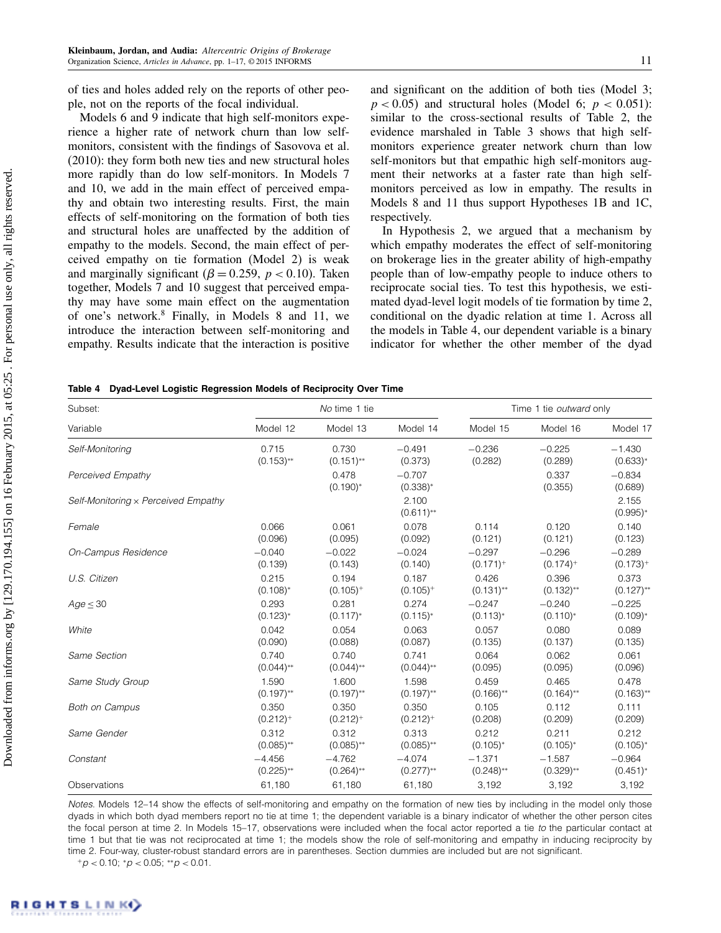of ties and holes added rely on the reports of other people, not on the reports of the focal individual.

Models 6 and 9 indicate that high self-monitors experience a higher rate of network churn than low selfmonitors, consistent with the findings of Sasovova et al. (2010): they form both new ties and new structural holes more rapidly than do low self-monitors. In Models 7 and 10, we add in the main effect of perceived empathy and obtain two interesting results. First, the main effects of self-monitoring on the formation of both ties and structural holes are unaffected by the addition of empathy to the models. Second, the main effect of perceived empathy on tie formation (Model 2) is weak and marginally significant ( $\beta = 0.259$ ,  $p < 0.10$ ). Taken together, Models 7 and 10 suggest that perceived empathy may have some main effect on the augmentation of one's network.<sup>8</sup> Finally, in Models 8 and 11, we introduce the interaction between self-monitoring and empathy. Results indicate that the interaction is positive

and significant on the addition of both ties (Model 3;  $p < 0.05$ ) and structural holes (Model 6;  $p < 0.051$ ): similar to the cross-sectional results of Table 2, the evidence marshaled in Table 3 shows that high selfmonitors experience greater network churn than low self-monitors but that empathic high self-monitors augment their networks at a faster rate than high selfmonitors perceived as low in empathy. The results in Models 8 and 11 thus support Hypotheses 1B and 1C, respectively.

In Hypothesis 2, we argued that a mechanism by which empathy moderates the effect of self-monitoring on brokerage lies in the greater ability of high-empathy people than of low-empathy people to induce others to reciprocate social ties. To test this hypothesis, we estimated dyad-level logit models of tie formation by time 2, conditional on the dyadic relation at time 1. Across all the models in Table 4, our dependent variable is a binary indicator for whether the other member of the dyad

|  | Table 4 Dyad-Level Logistic Regression Models of Reciprocity Over Time |  |  |  |
|--|------------------------------------------------------------------------|--|--|--|
|--|------------------------------------------------------------------------|--|--|--|

| Subset:                             |               | No time 1 tie        |                        | Time 1 tie outward only |                        |                     |  |
|-------------------------------------|---------------|----------------------|------------------------|-------------------------|------------------------|---------------------|--|
| Variable                            | Model 12      | Model 13             | Model 14               | Model 15                | Model 16               | Model 17            |  |
| Self-Monitoring                     | 0.715         | 0.730                | $-0.491$               | $-0.236$                | $-0.225$               | $-1.430$            |  |
|                                     | $(0.153)$ **  | $(0.151)$ **         | (0.373)                | (0.282)                 | (0.289)                | $(0.633)*$          |  |
| Perceived Empathy                   |               | 0.478<br>$(0.190)^*$ | $-0.707$<br>$(0.338)*$ |                         | 0.337<br>(0.355)       | $-0.834$<br>(0.689) |  |
| Self-Monitoring x Perceived Empathy |               |                      | 2.100<br>$(0.611)$ **  |                         |                        | 2.155<br>$(0.995)*$ |  |
| Female                              | 0.066         | 0.061                | 0.078                  | 0.114                   | 0.120                  | 0.140               |  |
|                                     | (0.096)       | (0.095)              | (0.092)                | (0.121)                 | (0.121)                | (0.123)             |  |
| On-Campus Residence                 | $-0.040$      | $-0.022$             | $-0.024$               | $-0.297$                | $-0.296$               | $-0.289$            |  |
|                                     | (0.139)       | (0.143)              | (0.140)                | $(0.171)^+$             | $(0.174)$ <sup>+</sup> | $(0.173)^{+}$       |  |
| U.S. Citizen                        | 0.215         | 0.194                | 0.187                  | 0.426                   | 0.396                  | 0.373               |  |
|                                     | $(0.108)^{*}$ | $(0.105)^+$          | $(0.105)^+$            | $(0.131)$ **            | $(0.132)$ **           | $(0.127)$ **        |  |
| $Age \leq 30$                       | 0.293         | 0.281                | 0.274                  | $-0.247$                | $-0.240$               | $-0.225$            |  |
|                                     | $(0.123)^{*}$ | $(0.117)^*$          | $(0.115)^*$            | $(0.113)*$              | $(0.110)*$             | $(0.109)*$          |  |
| White                               | 0.042         | 0.054                | 0.063                  | 0.057                   | 0.080                  | 0.089               |  |
|                                     | (0.090)       | (0.088)              | (0.087)                | (0.135)                 | (0.137)                | (0.135)             |  |
| Same Section                        | 0.740         | 0.740                | 0.741                  | 0.064                   | 0.062                  | 0.061               |  |
|                                     | $(0.044)$ **  | $(0.044)$ **         | $(0.044)$ **           | (0.095)                 | (0.095)                | (0.096)             |  |
| Same Study Group                    | 1.590         | 1.600                | 1.598                  | 0.459                   | 0.465                  | 0.478               |  |
|                                     | $(0.197)$ **  | $(0.197)$ **         | $(0.197)$ **           | $(0.166)$ **            | $(0.164)$ **           | $(0.163)$ **        |  |
| Both on Campus                      | 0.350         | 0.350                | 0.350                  | 0.105                   | 0.112                  | 0.111               |  |
|                                     | $(0.212)^{+}$ | $(0.212)^{+}$        | $(0.212)^{+}$          | (0.208)                 | (0.209)                | (0.209)             |  |
| Same Gender                         | 0.312         | 0.312                | 0.313                  | 0.212                   | 0.211                  | 0.212               |  |
|                                     | $(0.085)$ **  | $(0.085)$ **         | $(0.085)$ **           | $(0.105)*$              | $(0.105)*$             | $(0.105)*$          |  |
| Constant                            | $-4.456$      | $-4.762$             | $-4.074$               | $-1.371$                | $-1.587$               | $-0.964$            |  |
|                                     | $(0.225)$ **  | $(0.264)$ **         | $(0.277)$ **           | $(0.248)$ **            | $(0.329)$ **           | $(0.451)^*$         |  |
| Observations                        | 61,180        | 61,180               | 61,180                 | 3,192                   | 3,192                  | 3,192               |  |

Notes. Models 12–14 show the effects of self-monitoring and empathy on the formation of new ties by including in the model only those dyads in which both dyad members report no tie at time 1; the dependent variable is a binary indicator of whether the other person cites the focal person at time 2. In Models 15–17, observations were included when the focal actor reported a tie to the particular contact at time 1 but that tie was not reciprocated at time 1; the models show the role of self-monitoring and empathy in inducing reciprocity by time 2. Four-way, cluster-robust standard errors are in parentheses. Section dummies are included but are not significant.

 $p + p < 0.10$ ;  $p < 0.05$ ; \*\* $p < 0.01$ .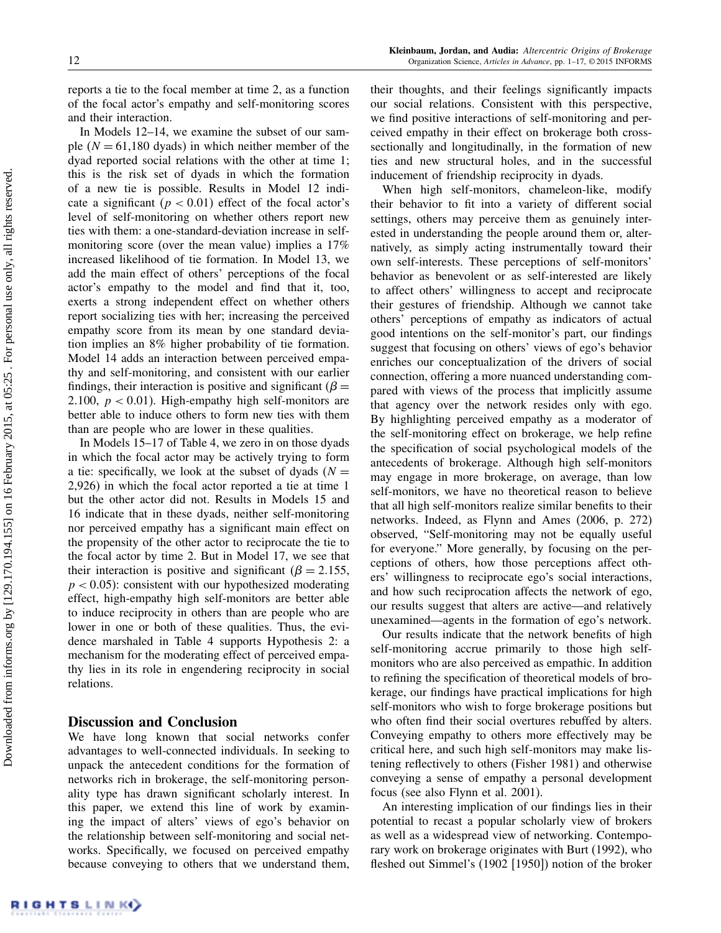reports a tie to the focal member at time 2, as a function of the focal actor's empathy and self-monitoring scores and their interaction.

In Models 12–14, we examine the subset of our sample ( $N = 61,180$  dyads) in which neither member of the dyad reported social relations with the other at time 1; this is the risk set of dyads in which the formation of a new tie is possible. Results in Model 12 indicate a significant ( $p < 0.01$ ) effect of the focal actor's level of self-monitoring on whether others report new ties with them: a one-standard-deviation increase in selfmonitoring score (over the mean value) implies a 17% increased likelihood of tie formation. In Model 13, we add the main effect of others' perceptions of the focal actor's empathy to the model and find that it, too, exerts a strong independent effect on whether others report socializing ties with her; increasing the perceived empathy score from its mean by one standard deviation implies an 8% higher probability of tie formation. Model 14 adds an interaction between perceived empathy and self-monitoring, and consistent with our earlier findings, their interaction is positive and significant ( $\beta$  = 2.100,  $p < 0.01$ ). High-empathy high self-monitors are better able to induce others to form new ties with them than are people who are lower in these qualities.

In Models 15–17 of Table 4, we zero in on those dyads in which the focal actor may be actively trying to form a tie: specifically, we look at the subset of dyads ( $N =$ 2,926) in which the focal actor reported a tie at time 1 but the other actor did not. Results in Models 15 and 16 indicate that in these dyads, neither self-monitoring nor perceived empathy has a significant main effect on the propensity of the other actor to reciprocate the tie to the focal actor by time 2. But in Model 17, we see that their interaction is positive and significant ( $\beta = 2.155$ ,  $p < 0.05$ ): consistent with our hypothesized moderating effect, high-empathy high self-monitors are better able to induce reciprocity in others than are people who are lower in one or both of these qualities. Thus, the evidence marshaled in Table 4 supports Hypothesis 2: a mechanism for the moderating effect of perceived empathy lies in its role in engendering reciprocity in social relations.

## Discussion and Conclusion

We have long known that social networks confer advantages to well-connected individuals. In seeking to unpack the antecedent conditions for the formation of networks rich in brokerage, the self-monitoring personality type has drawn significant scholarly interest. In this paper, we extend this line of work by examining the impact of alters' views of ego's behavior on the relationship between self-monitoring and social networks. Specifically, we focused on perceived empathy because conveying to others that we understand them,

their thoughts, and their feelings significantly impacts our social relations. Consistent with this perspective, we find positive interactions of self-monitoring and perceived empathy in their effect on brokerage both crosssectionally and longitudinally, in the formation of new ties and new structural holes, and in the successful inducement of friendship reciprocity in dyads.

When high self-monitors, chameleon-like, modify their behavior to fit into a variety of different social settings, others may perceive them as genuinely interested in understanding the people around them or, alternatively, as simply acting instrumentally toward their own self-interests. These perceptions of self-monitors' behavior as benevolent or as self-interested are likely to affect others' willingness to accept and reciprocate their gestures of friendship. Although we cannot take others' perceptions of empathy as indicators of actual good intentions on the self-monitor's part, our findings suggest that focusing on others' views of ego's behavior enriches our conceptualization of the drivers of social connection, offering a more nuanced understanding compared with views of the process that implicitly assume that agency over the network resides only with ego. By highlighting perceived empathy as a moderator of the self-monitoring effect on brokerage, we help refine the specification of social psychological models of the antecedents of brokerage. Although high self-monitors may engage in more brokerage, on average, than low self-monitors, we have no theoretical reason to believe that all high self-monitors realize similar benefits to their networks. Indeed, as Flynn and Ames (2006, p. 272) observed, "Self-monitoring may not be equally useful for everyone." More generally, by focusing on the perceptions of others, how those perceptions affect others' willingness to reciprocate ego's social interactions, and how such reciprocation affects the network of ego, our results suggest that alters are active—and relatively unexamined—agents in the formation of ego's network.

Our results indicate that the network benefits of high self-monitoring accrue primarily to those high selfmonitors who are also perceived as empathic. In addition to refining the specification of theoretical models of brokerage, our findings have practical implications for high self-monitors who wish to forge brokerage positions but who often find their social overtures rebuffed by alters. Conveying empathy to others more effectively may be critical here, and such high self-monitors may make listening reflectively to others (Fisher 1981) and otherwise conveying a sense of empathy a personal development focus (see also Flynn et al. 2001).

An interesting implication of our findings lies in their potential to recast a popular scholarly view of brokers as well as a widespread view of networking. Contemporary work on brokerage originates with Burt (1992), who fleshed out Simmel's (1902 [1950]) notion of the broker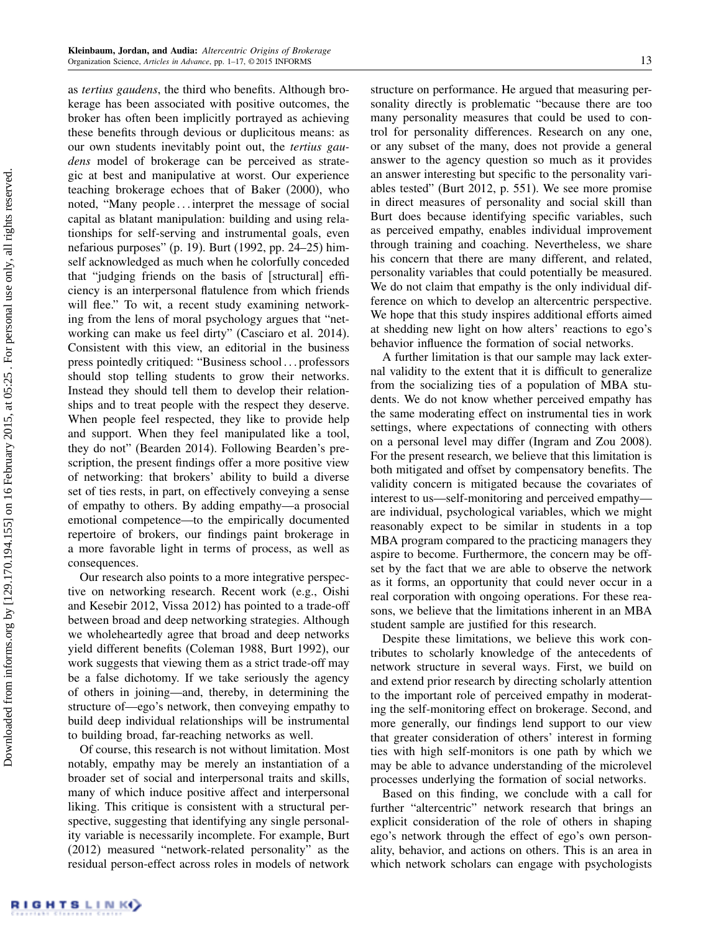as *tertius gaudens*, the third who benefits. Although brokerage has been associated with positive outcomes, the broker has often been implicitly portrayed as achieving these benefits through devious or duplicitous means: as our own students inevitably point out, the tertius gaudens model of brokerage can be perceived as strategic at best and manipulative at worst. Our experience teaching brokerage echoes that of Baker (2000), who noted, "Many people... interpret the message of social capital as blatant manipulation: building and using relationships for self-serving and instrumental goals, even nefarious purposes" (p. 19). Burt (1992, pp. 24–25) himself acknowledged as much when he colorfully conceded that "judging friends on the basis of [structural] efficiency is an interpersonal flatulence from which friends will flee." To wit, a recent study examining networking from the lens of moral psychology argues that "networking can make us feel dirty" (Casciaro et al. 2014). Consistent with this view, an editorial in the business press pointedly critiqued: "Business school... professors should stop telling students to grow their networks. Instead they should tell them to develop their relationships and to treat people with the respect they deserve. When people feel respected, they like to provide help and support. When they feel manipulated like a tool, they do not" (Bearden 2014). Following Bearden's prescription, the present findings offer a more positive view of networking: that brokers' ability to build a diverse set of ties rests, in part, on effectively conveying a sense of empathy to others. By adding empathy—a prosocial emotional competence—to the empirically documented repertoire of brokers, our findings paint brokerage in a more favorable light in terms of process, as well as consequences.

Our research also points to a more integrative perspective on networking research. Recent work (e.g., Oishi and Kesebir 2012, Vissa 2012) has pointed to a trade-off between broad and deep networking strategies. Although we wholeheartedly agree that broad and deep networks yield different benefits (Coleman 1988, Burt 1992), our work suggests that viewing them as a strict trade-off may be a false dichotomy. If we take seriously the agency of others in joining—and, thereby, in determining the structure of—ego's network, then conveying empathy to build deep individual relationships will be instrumental to building broad, far-reaching networks as well.

Of course, this research is not without limitation. Most notably, empathy may be merely an instantiation of a broader set of social and interpersonal traits and skills, many of which induce positive affect and interpersonal liking. This critique is consistent with a structural perspective, suggesting that identifying any single personality variable is necessarily incomplete. For example, Burt (2012) measured "network-related personality" as the residual person-effect across roles in models of network structure on performance. He argued that measuring personality directly is problematic "because there are too many personality measures that could be used to control for personality differences. Research on any one, or any subset of the many, does not provide a general answer to the agency question so much as it provides an answer interesting but specific to the personality variables tested" (Burt 2012, p. 551). We see more promise in direct measures of personality and social skill than Burt does because identifying specific variables, such as perceived empathy, enables individual improvement through training and coaching. Nevertheless, we share his concern that there are many different, and related, personality variables that could potentially be measured. We do not claim that empathy is the only individual difference on which to develop an altercentric perspective. We hope that this study inspires additional efforts aimed at shedding new light on how alters' reactions to ego's behavior influence the formation of social networks.

A further limitation is that our sample may lack external validity to the extent that it is difficult to generalize from the socializing ties of a population of MBA students. We do not know whether perceived empathy has the same moderating effect on instrumental ties in work settings, where expectations of connecting with others on a personal level may differ (Ingram and Zou 2008). For the present research, we believe that this limitation is both mitigated and offset by compensatory benefits. The validity concern is mitigated because the covariates of interest to us—self-monitoring and perceived empathy are individual, psychological variables, which we might reasonably expect to be similar in students in a top MBA program compared to the practicing managers they aspire to become. Furthermore, the concern may be offset by the fact that we are able to observe the network as it forms, an opportunity that could never occur in a real corporation with ongoing operations. For these reasons, we believe that the limitations inherent in an MBA student sample are justified for this research.

Despite these limitations, we believe this work contributes to scholarly knowledge of the antecedents of network structure in several ways. First, we build on and extend prior research by directing scholarly attention to the important role of perceived empathy in moderating the self-monitoring effect on brokerage. Second, and more generally, our findings lend support to our view that greater consideration of others' interest in forming ties with high self-monitors is one path by which we may be able to advance understanding of the microlevel processes underlying the formation of social networks.

Based on this finding, we conclude with a call for further "altercentric" network research that brings an explicit consideration of the role of others in shaping ego's network through the effect of ego's own personality, behavior, and actions on others. This is an area in which network scholars can engage with psychologists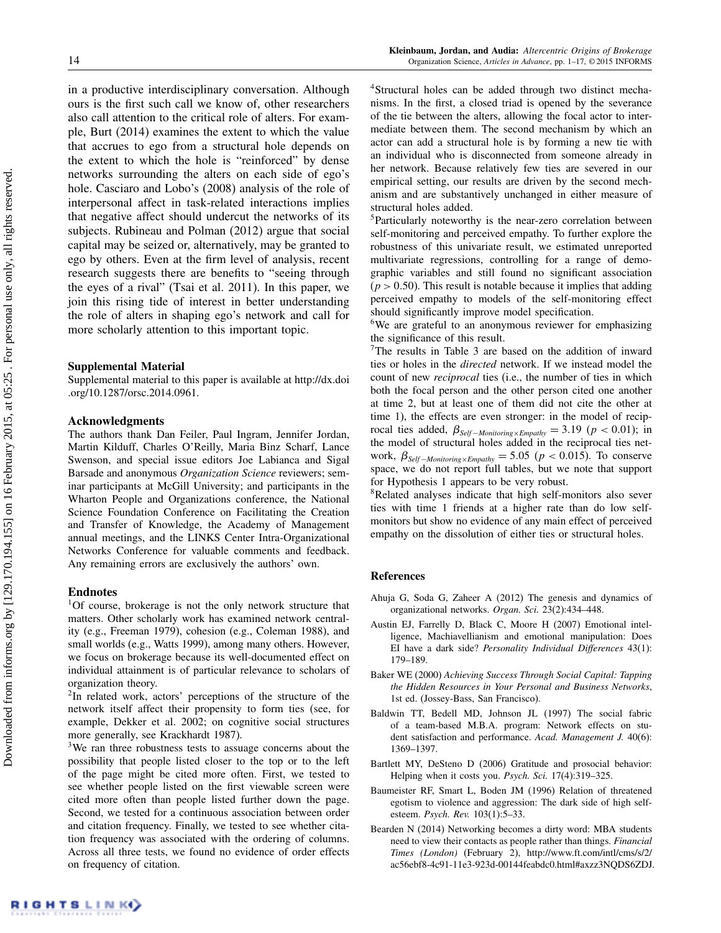in a productive interdisciplinary conversation. Although ours is the first such call we know of, other researchers also call attention to the critical role of alters. For example, Burt (2014) examines the extent to which the value that accrues to ego from a structural hole depends on the extent to which the hole is "reinforced" by dense networks surrounding the alters on each side of ego's hole. Casciaro and Lobo's (2008) analysis of the role of interpersonal affect in task-related interactions implies that negative affect should undercut the networks of its subjects. Rubineau and Polman (2012) argue that social capital may be seized or, alternatively, may be granted to ego by others. Even at the firm level of analysis, recent research suggests there are benefits to "seeing through the eyes of a rival" (Tsai et al. 2011). In this paper, we join this rising tide of interest in better understanding the role of alters in shaping ego's network and call for more scholarly attention to this important topic.

## Supplemental Material

Supplemental material to this paper is available at http://dx.doi .org/10.1287/orsc.2014.0961.

#### Acknowledgments

The authors thank Dan Feiler, Paul Ingram, Jennifer Jordan, Martin Kilduff, Charles O'Reilly, Maria Binz Scharf, Lance Swenson, and special issue editors Joe Labianca and Sigal Barsade and anonymous Organization Science reviewers; seminar participants at McGill University; and participants in the Wharton People and Organizations conference, the National Science Foundation Conference on Facilitating the Creation and Transfer of Knowledge, the Academy of Management annual meetings, and the LINKS Center Intra-Organizational Networks Conference for valuable comments and feedback. Any remaining errors are exclusively the authors' own.

#### Endnotes

<sup>1</sup>Of course, brokerage is not the only network structure that matters. Other scholarly work has examined network centrality (e.g., Freeman 1979), cohesion (e.g., Coleman 1988), and small worlds (e.g., Watts 1999), among many others. However, we focus on brokerage because its well-documented effect on individual attainment is of particular relevance to scholars of organization theory.

<sup>2</sup>In related work, actors' perceptions of the structure of the network itself affect their propensity to form ties (see, for example, Dekker et al. 2002; on cognitive social structures more generally, see Krackhardt 1987).

<sup>3</sup>We ran three robustness tests to assuage concerns about the possibility that people listed closer to the top or to the left of the page might be cited more often. First, we tested to see whether people listed on the first viewable screen were cited more often than people listed further down the page. Second, we tested for a continuous association between order and citation frequency. Finally, we tested to see whether citation frequency was associated with the ordering of columns. Across all three tests, we found no evidence of order effects on frequency of citation.

<sup>4</sup>Structural holes can be added through two distinct mechanisms. In the first, a closed triad is opened by the severance of the tie between the alters, allowing the focal actor to intermediate between them. The second mechanism by which an actor can add a structural hole is by forming a new tie with an individual who is disconnected from someone already in her network. Because relatively few ties are severed in our empirical setting, our results are driven by the second mechanism and are substantively unchanged in either measure of structural holes added.

<sup>5</sup>Particularly noteworthy is the near-zero correlation between self-monitoring and perceived empathy. To further explore the robustness of this univariate result, we estimated unreported multivariate regressions, controlling for a range of demographic variables and still found no significant association  $(p > 0.50)$ . This result is notable because it implies that adding perceived empathy to models of the self-monitoring effect should significantly improve model specification.

<sup>6</sup>We are grateful to an anonymous reviewer for emphasizing the significance of this result.

<sup>7</sup>The results in Table 3 are based on the addition of inward ties or holes in the directed network. If we instead model the count of new reciprocal ties (i.e., the number of ties in which both the focal person and the other person cited one another at time 2, but at least one of them did not cite the other at time 1), the effects are even stronger: in the model of reciprocal ties added,  $\beta_{Self-Montoring \times Empathy} = 3.19$  ( $p < 0.01$ ); in the model of structural holes added in the reciprocal ties network,  $\beta_{Self-Monitoring \times Empathy} = 5.05$  ( $p < 0.015$ ). To conserve space, we do not report full tables, but we note that support for Hypothesis 1 appears to be very robust.

<sup>8</sup>Related analyses indicate that high self-monitors also sever ties with time 1 friends at a higher rate than do low selfmonitors but show no evidence of any main effect of perceived empathy on the dissolution of either ties or structural holes.

## References

- Ahuja G, Soda G, Zaheer A (2012) The genesis and dynamics of organizational networks. Organ. Sci. 23(2):434–448.
- Austin EJ, Farrelly D, Black C, Moore H (2007) Emotional intelligence, Machiavellianism and emotional manipulation: Does EI have a dark side? Personality Individual Differences 43(1): 179–189.
- Baker WE (2000) Achieving Success Through Social Capital: Tapping the Hidden Resources in Your Personal and Business Networks, 1st ed. (Jossey-Bass, San Francisco).
- Baldwin TT, Bedell MD, Johnson JL (1997) The social fabric of a team-based M.B.A. program: Network effects on student satisfaction and performance. Acad. Management J. 40(6): 1369–1397.
- Bartlett MY, DeSteno D (2006) Gratitude and prosocial behavior: Helping when it costs you. Psych. Sci. 17(4):319-325.
- Baumeister RF, Smart L, Boden JM (1996) Relation of threatened egotism to violence and aggression: The dark side of high selfesteem. Psych. Rev. 103(1):5–33.
- Bearden N (2014) Networking becomes a dirty word: MBA students need to view their contacts as people rather than things. Financial Times (London) (February 2), http://www.ft.com/intl/cms/s/2/ ac56ebf8-4c91-11e3-923d-00144feabdc0.html#axzz3NQDS6ZDJ.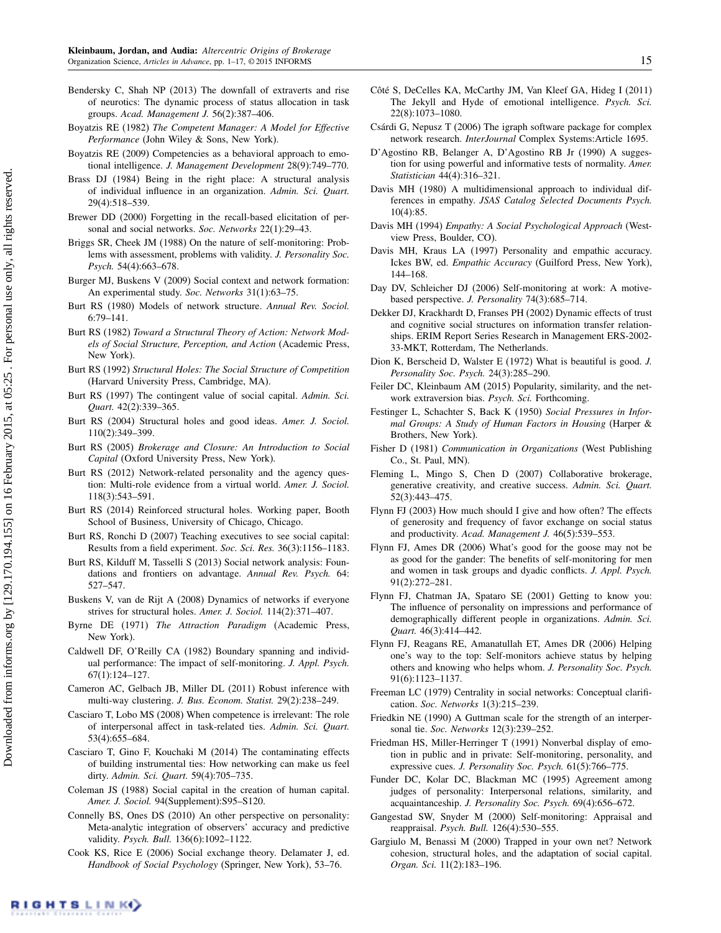- Bendersky C, Shah NP (2013) The downfall of extraverts and rise of neurotics: The dynamic process of status allocation in task groups. Acad. Management J. 56(2):387–406.
- Boyatzis RE (1982) The Competent Manager: A Model for Effective Performance (John Wiley & Sons, New York).
- Boyatzis RE (2009) Competencies as a behavioral approach to emotional intelligence. J. Management Development 28(9):749–770.
- Brass DJ (1984) Being in the right place: A structural analysis of individual influence in an organization. Admin. Sci. Quart. 29(4):518–539.
- Brewer DD (2000) Forgetting in the recall-based elicitation of personal and social networks. Soc. Networks 22(1):29–43.
- Briggs SR, Cheek JM (1988) On the nature of self-monitoring: Problems with assessment, problems with validity. J. Personality Soc. Psych. 54(4):663–678.
- Burger MJ, Buskens V (2009) Social context and network formation: An experimental study. Soc. Networks 31(1):63-75.
- Burt RS (1980) Models of network structure. Annual Rev. Sociol. 6:79–141.
- Burt RS (1982) Toward a Structural Theory of Action: Network Models of Social Structure, Perception, and Action (Academic Press, New York).
- Burt RS (1992) Structural Holes: The Social Structure of Competition (Harvard University Press, Cambridge, MA).
- Burt RS (1997) The contingent value of social capital. Admin. Sci. Quart. 42(2):339–365.
- Burt RS (2004) Structural holes and good ideas. Amer. J. Sociol. 110(2):349–399.
- Burt RS (2005) Brokerage and Closure: An Introduction to Social Capital (Oxford University Press, New York).
- Burt RS (2012) Network-related personality and the agency question: Multi-role evidence from a virtual world. Amer. J. Sociol. 118(3):543–591.
- Burt RS (2014) Reinforced structural holes. Working paper, Booth School of Business, University of Chicago, Chicago.
- Burt RS, Ronchi D (2007) Teaching executives to see social capital: Results from a field experiment. Soc. Sci. Res. 36(3):1156–1183.
- Burt RS, Kilduff M, Tasselli S (2013) Social network analysis: Foundations and frontiers on advantage. Annual Rev. Psych. 64: 527–547.
- Buskens V, van de Rijt A (2008) Dynamics of networks if everyone strives for structural holes. Amer. J. Sociol. 114(2):371–407.
- Byrne DE (1971) The Attraction Paradigm (Academic Press, New York).
- Caldwell DF, O'Reilly CA (1982) Boundary spanning and individual performance: The impact of self-monitoring. J. Appl. Psych. 67(1):124–127.
- Cameron AC, Gelbach JB, Miller DL (2011) Robust inference with multi-way clustering. J. Bus. Econom. Statist. 29(2):238–249.
- Casciaro T, Lobo MS (2008) When competence is irrelevant: The role of interpersonal affect in task-related ties. Admin. Sci. Quart. 53(4):655–684.
- Casciaro T, Gino F, Kouchaki M (2014) The contaminating effects of building instrumental ties: How networking can make us feel dirty. Admin. Sci. Quart. 59(4):705–735.
- Coleman JS (1988) Social capital in the creation of human capital. Amer. J. Sociol. 94(Supplement):S95–S120.
- Connelly BS, Ones DS (2010) An other perspective on personality: Meta-analytic integration of observers' accuracy and predictive validity. Psych. Bull. 136(6):1092-1122.
- Cook KS, Rice E (2006) Social exchange theory. Delamater J, ed. Handbook of Social Psychology (Springer, New York), 53–76.
- Côté S, DeCelles KA, McCarthy JM, Van Kleef GA, Hideg I (2011) The Jekyll and Hyde of emotional intelligence. Psych. Sci. 22(8):1073–1080.
- Csárdi G, Nepusz T (2006) The igraph software package for complex network research. InterJournal Complex Systems:Article 1695.
- D'Agostino RB, Belanger A, D'Agostino RB Jr (1990) A suggestion for using powerful and informative tests of normality. Amer. Statistician 44(4):316–321.
- Davis MH (1980) A multidimensional approach to individual differences in empathy. JSAS Catalog Selected Documents Psych. 10(4):85.
- Davis MH (1994) Empathy: A Social Psychological Approach (Westview Press, Boulder, CO).
- Davis MH, Kraus LA (1997) Personality and empathic accuracy. Ickes BW, ed. Empathic Accuracy (Guilford Press, New York), 144–168.
- Day DV, Schleicher DJ (2006) Self-monitoring at work: A motivebased perspective. J. Personality 74(3):685–714.
- Dekker DJ, Krackhardt D, Franses PH (2002) Dynamic effects of trust and cognitive social structures on information transfer relationships. ERIM Report Series Research in Management ERS-2002- 33-MKT, Rotterdam, The Netherlands.
- Dion K, Berscheid D, Walster E (1972) What is beautiful is good. J. Personality Soc. Psych. 24(3):285–290.
- Feiler DC, Kleinbaum AM (2015) Popularity, similarity, and the network extraversion bias. Psych. Sci. Forthcoming.
- Festinger L, Schachter S, Back K (1950) Social Pressures in Informal Groups: A Study of Human Factors in Housing (Harper & Brothers, New York).
- Fisher D (1981) Communication in Organizations (West Publishing Co., St. Paul, MN).
- Fleming L, Mingo S, Chen D (2007) Collaborative brokerage, generative creativity, and creative success. Admin. Sci. Quart. 52(3):443–475.
- Flynn FJ (2003) How much should I give and how often? The effects of generosity and frequency of favor exchange on social status and productivity. Acad. Management J. 46(5):539–553.
- Flynn FJ, Ames DR (2006) What's good for the goose may not be as good for the gander: The benefits of self-monitoring for men and women in task groups and dyadic conflicts. J. Appl. Psych. 91(2):272–281.
- Flynn FJ, Chatman JA, Spataro SE (2001) Getting to know you: The influence of personality on impressions and performance of demographically different people in organizations. Admin. Sci. Quart. 46(3):414–442.
- Flynn FJ, Reagans RE, Amanatullah ET, Ames DR (2006) Helping one's way to the top: Self-monitors achieve status by helping others and knowing who helps whom. J. Personality Soc. Psych. 91(6):1123–1137.
- Freeman LC (1979) Centrality in social networks: Conceptual clarification. Soc. Networks 1(3):215–239.
- Friedkin NE (1990) A Guttman scale for the strength of an interpersonal tie. Soc. Networks 12(3):239–252.
- Friedman HS, Miller-Herringer T (1991) Nonverbal display of emotion in public and in private: Self-monitoring, personality, and expressive cues. J. Personality Soc. Psych. 61(5):766–775.
- Funder DC, Kolar DC, Blackman MC (1995) Agreement among judges of personality: Interpersonal relations, similarity, and acquaintanceship. J. Personality Soc. Psych. 69(4):656–672.
- Gangestad SW, Snyder M (2000) Self-monitoring: Appraisal and reappraisal. Psych. Bull. 126(4):530–555.
- Gargiulo M, Benassi M (2000) Trapped in your own net? Network cohesion, structural holes, and the adaptation of social capital. Organ. Sci. 11(2):183–196.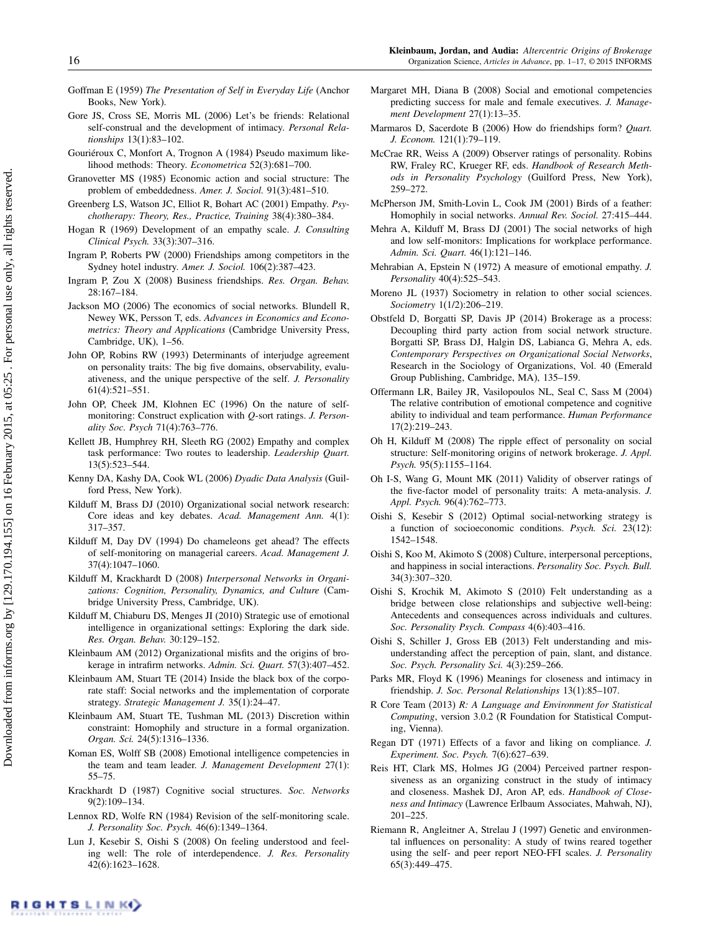- Goffman E (1959) The Presentation of Self in Everyday Life (Anchor Books, New York).
- Gore JS, Cross SE, Morris ML (2006) Let's be friends: Relational self-construal and the development of intimacy. Personal Relationships 13(1):83–102.
- Gouriéroux C, Monfort A, Trognon A (1984) Pseudo maximum likelihood methods: Theory. Econometrica 52(3):681–700.
- Granovetter MS (1985) Economic action and social structure: The problem of embeddedness. Amer. J. Sociol. 91(3):481–510.
- Greenberg LS, Watson JC, Elliot R, Bohart AC (2001) Empathy. Psychotherapy: Theory, Res., Practice, Training 38(4):380–384.
- Hogan R (1969) Development of an empathy scale. J. Consulting Clinical Psych. 33(3):307–316.
- Ingram P, Roberts PW (2000) Friendships among competitors in the Sydney hotel industry. Amer. J. Sociol. 106(2):387–423.
- Ingram P, Zou X (2008) Business friendships. Res. Organ. Behav. 28:167–184.
- Jackson MO (2006) The economics of social networks. Blundell R, Newey WK, Persson T, eds. Advances in Economics and Econometrics: Theory and Applications (Cambridge University Press, Cambridge, UK), 1–56.
- John OP, Robins RW (1993) Determinants of interjudge agreement on personality traits: The big five domains, observability, evaluativeness, and the unique perspective of the self. J. Personality 61(4):521–551.
- John OP, Cheek JM, Klohnen EC (1996) On the nature of selfmonitoring: Construct explication with Q-sort ratings. J. Personality Soc. Psych 71(4):763–776.
- Kellett JB, Humphrey RH, Sleeth RG (2002) Empathy and complex task performance: Two routes to leadership. Leadership Quart. 13(5):523–544.
- Kenny DA, Kashy DA, Cook WL (2006) Dyadic Data Analysis (Guilford Press, New York).
- Kilduff M, Brass DJ (2010) Organizational social network research: Core ideas and key debates. Acad. Management Ann. 4(1): 317–357.
- Kilduff M, Day DV (1994) Do chameleons get ahead? The effects of self-monitoring on managerial careers. Acad. Management J. 37(4):1047–1060.
- Kilduff M, Krackhardt D (2008) Interpersonal Networks in Organizations: Cognition, Personality, Dynamics, and Culture (Cambridge University Press, Cambridge, UK).
- Kilduff M, Chiaburu DS, Menges JI (2010) Strategic use of emotional intelligence in organizational settings: Exploring the dark side. Res. Organ. Behav. 30:129–152.
- Kleinbaum AM (2012) Organizational misfits and the origins of brokerage in intrafirm networks. Admin. Sci. Quart. 57(3):407–452.
- Kleinbaum AM, Stuart TE (2014) Inside the black box of the corporate staff: Social networks and the implementation of corporate strategy. Strategic Management J. 35(1):24–47.
- Kleinbaum AM, Stuart TE, Tushman ML (2013) Discretion within constraint: Homophily and structure in a formal organization. Organ. Sci. 24(5):1316–1336.
- Koman ES, Wolff SB (2008) Emotional intelligence competencies in the team and team leader. J. Management Development 27(1): 55–75.
- Krackhardt D (1987) Cognitive social structures. Soc. Networks 9(2):109–134.
- Lennox RD, Wolfe RN (1984) Revision of the self-monitoring scale. J. Personality Soc. Psych. 46(6):1349–1364.
- Lun J, Kesebir S, Oishi S (2008) On feeling understood and feeling well: The role of interdependence. J. Res. Personality 42(6):1623–1628.

RIGHTSLINK)

- Margaret MH, Diana B (2008) Social and emotional competencies predicting success for male and female executives. J. Management Development 27(1):13–35.
- Marmaros D, Sacerdote B (2006) How do friendships form? Quart. J. Econom. 121(1):79–119.
- McCrae RR, Weiss A (2009) Observer ratings of personality. Robins RW, Fraley RC, Krueger RF, eds. Handbook of Research Methods in Personality Psychology (Guilford Press, New York), 259–272.
- McPherson JM, Smith-Lovin L, Cook JM (2001) Birds of a feather: Homophily in social networks. Annual Rev. Sociol. 27:415–444.
- Mehra A, Kilduff M, Brass DJ (2001) The social networks of high and low self-monitors: Implications for workplace performance. Admin. Sci. Quart. 46(1):121–146.
- Mehrabian A, Epstein N (1972) A measure of emotional empathy. J. Personality 40(4):525–543.
- Moreno JL (1937) Sociometry in relation to other social sciences. Sociometry 1(1/2):206–219.
- Obstfeld D, Borgatti SP, Davis JP (2014) Brokerage as a process: Decoupling third party action from social network structure. Borgatti SP, Brass DJ, Halgin DS, Labianca G, Mehra A, eds. Contemporary Perspectives on Organizational Social Networks, Research in the Sociology of Organizations, Vol. 40 (Emerald Group Publishing, Cambridge, MA), 135–159.
- Offermann LR, Bailey JR, Vasilopoulos NL, Seal C, Sass M (2004) The relative contribution of emotional competence and cognitive ability to individual and team performance. Human Performance 17(2):219–243.
- Oh H, Kilduff M (2008) The ripple effect of personality on social structure: Self-monitoring origins of network brokerage. J. Appl. Psych. 95(5):1155–1164.
- Oh I-S, Wang G, Mount MK (2011) Validity of observer ratings of the five-factor model of personality traits: A meta-analysis. J. Appl. Psych. 96(4):762–773.
- Oishi S, Kesebir S (2012) Optimal social-networking strategy is a function of socioeconomic conditions. Psych. Sci. 23(12): 1542–1548.
- Oishi S, Koo M, Akimoto S (2008) Culture, interpersonal perceptions, and happiness in social interactions. Personality Soc. Psych. Bull. 34(3):307–320.
- Oishi S, Krochik M, Akimoto S (2010) Felt understanding as a bridge between close relationships and subjective well-being: Antecedents and consequences across individuals and cultures. Soc. Personality Psych. Compass 4(6):403–416.
- Oishi S, Schiller J, Gross EB (2013) Felt understanding and misunderstanding affect the perception of pain, slant, and distance. Soc. Psych. Personality Sci. 4(3):259–266.
- Parks MR, Floyd K (1996) Meanings for closeness and intimacy in friendship. J. Soc. Personal Relationships 13(1):85–107.
- R Core Team (2013) R: A Language and Environment for Statistical Computing, version 3.0.2 (R Foundation for Statistical Computing, Vienna).
- Regan DT (1971) Effects of a favor and liking on compliance. J. Experiment. Soc. Psych. 7(6):627–639.
- Reis HT, Clark MS, Holmes JG (2004) Perceived partner responsiveness as an organizing construct in the study of intimacy and closeness. Mashek DJ, Aron AP, eds. Handbook of Closeness and Intimacy (Lawrence Erlbaum Associates, Mahwah, NJ), 201–225.
- Riemann R, Angleitner A, Strelau J (1997) Genetic and environmental influences on personality: A study of twins reared together using the self- and peer report NEO-FFI scales. J. Personality 65(3):449–475.